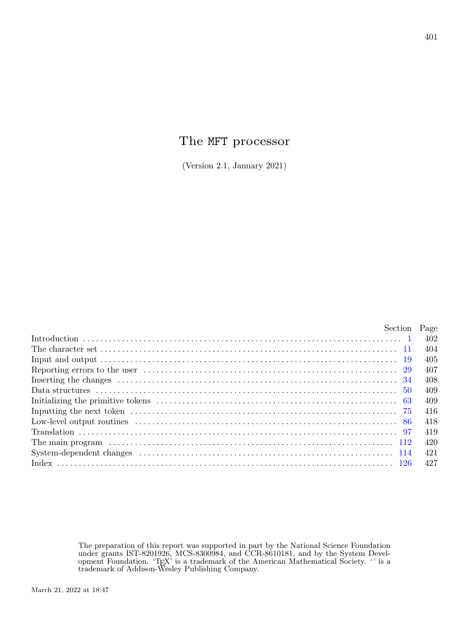# The MFT processor

(Version 2.1, January 2021)

| Section Page |     |
|--------------|-----|
|              | 402 |
|              | 404 |
|              | 405 |
|              | 407 |
|              | 408 |
|              | 409 |
|              | 409 |
|              | 416 |
|              | 418 |
|              | 419 |
|              | 420 |
|              | 421 |
|              | 427 |
|              |     |

The preparation of this report was supported in part by the National Science Foundation under grants IST-8201926, MCS-8300984, and CCR-8610181, and by the System Development Foundation. 'TEX' is a trademark of the American Mathematical Society. '' is a trademark of Addison-Wesley Publishing Company.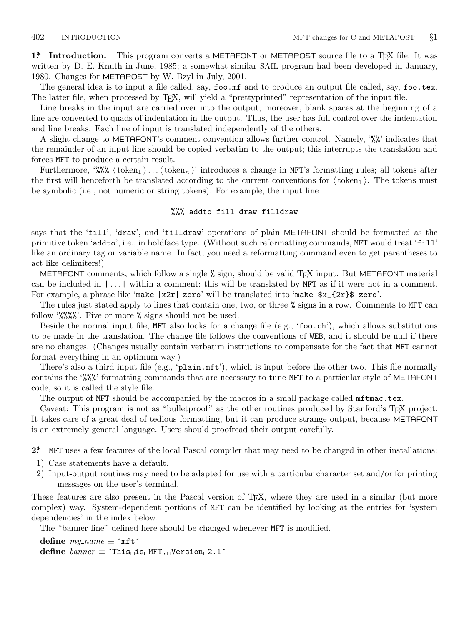<span id="page-1-0"></span>**1\*** Introduction. This program converts a METAFONT or METAPOST source file to a T<sub>E</sub>X file. It was written by D. E. Knuth in June, 1985; a somewhat similar SAIL program had been developed in January, 1980. Changes for METAPOST by W. Bzyl in July, 2001.

The general idea is to input a file called, say, foo.mf and to produce an output file called, say, foo.tex. The latter file, when processed by TEX, will yield a "prettyprinted" representation of the input file.

Line breaks in the input are carried over into the output; moreover, blank spaces at the beginning of a line are converted to quads of indentation in the output. Thus, the user has full control over the indentation and line breaks. Each line of input is translated independently of the others.

A slight change to METAFONT's comment convention allows further control. Namely, '%%' indicates that the remainder of an input line should be copied verbatim to the output; this interrupts the translation and forces MFT to produce a certain result.

Furthermore, '%%  $\langle \text{token}_1 \rangle \dots \langle \text{token}_n \rangle$ ' introduces a change in MFT's formatting rules; all tokens after the first will henceforth be translated according to the current conventions for  $\langle \text{token}_1 \rangle$ . The tokens must be symbolic (i.e., not numeric or string tokens). For example, the input line

### %%% addto fill draw filldraw

says that the 'fill', 'draw', and 'filldraw' operations of plain METAFONT should be formatted as the primitive token 'addto', i.e., in boldface type. (Without such reformatting commands, MFT would treat 'fill' like an ordinary tag or variable name. In fact, you need a reformatting command even to get parentheses to act like delimiters!)

METAFONT comments, which follow a single % sign, should be valid T<sub>E</sub>X input. But METAFONT material can be included in  $|\ldots|$  within a comment; this will be translated by MFT as if it were not in a comment. For example, a phrase like 'make |x2r| zero' will be translated into 'make \$x\_{2r}\$ zero'.

The rules just stated apply to lines that contain one, two, or three % signs in a row. Comments to MFT can follow '%%%%'. Five or more % signs should not be used.

Beside the normal input file, MFT also looks for a change file (e.g., 'foo.ch'), which allows substitutions to be made in the translation. The change file follows the conventions of WEB, and it should be null if there are no changes. (Changes usually contain verbatim instructions to compensate for the fact that MFT cannot format everything in an optimum way.)

There's also a third input file (e.g., 'plain.mft'), which is input before the other two. This file normally contains the '%%%' formatting commands that are necessary to tune MFT to a particular style of METAFONT code, so it is called the style file.

The output of MFT should be accompanied by the macros in a small package called mftmac.tex.

Caveat: This program is not as "bulletproof" as the other routines produced by Stanford's TEX project. It takes care of a great deal of tedious formatting, but it can produce strange output, because METAFONT is an extremely general language. Users should proofread their output carefully.

**2\*.** MFT uses a few features of the local Pascal compiler that may need to be changed in other installations:

- 1) Case statements have a default.
- 2) Input-output routines may need to be adapted for use with a particular character set and/or for printing messages on the user's terminal.

These features are also present in the Pascal version of TEX, where they are used in a similar (but more complex) way. System-dependent portions of MFT can be identified by looking at the entries for 'system dependencies' in the index below.

The "banner line" defined here should be changed whenever MFT is modified.

 $\text{define } my\_name \equiv \text{`mft'}$ **define** *banner ≡* ´This␣is␣MFT,␣Version␣2.1´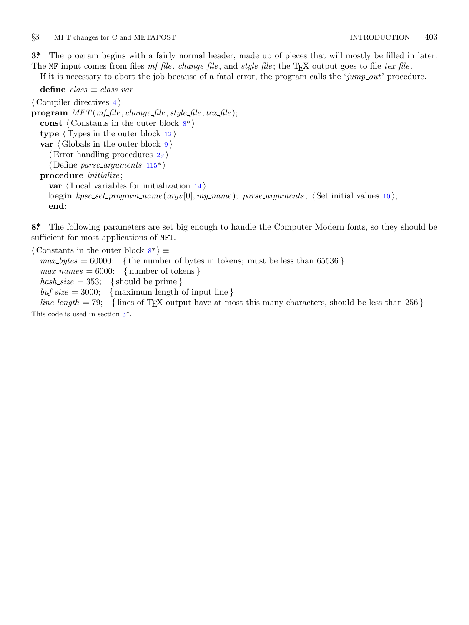<span id="page-2-0"></span>*§*3 MFT changes for C and METAPOST INTRODUCTION 403

**3\*.** The program begins with a fairly normal header, made up of pieces that will mostly be filled in later.

The MF input comes from files *mf file* , *change file* , and *style file* ; the TEX output goes to file *tex file* .

If it is necessary to abort the job because of a fatal error, the program calls the '*jump out*' procedure.

**define** *class ≡ class var ⟨* Compiler directives 4 *⟩* **program** *MFT* (*mf file , change file , style file , tex file* ); **const** *⟨* Constants in the outer block 8\* *⟩* **type** *⟨* Types in the outer block 12 *⟩* **var**  $\langle$  Globals in the outer block  $9$ *⟨*Error handling procedures 29 *⟩ ⟨* Define *parse arguments* 115\* *⟩* **procedure** *initialize* ; **var** *⟨* Local variables for initialization 14 *⟩* **begin**  $k$ pse\_set\_program\_name(argv[0], my\_name); parse\_arguments;  $\langle$  Set initial values 10 $\rangle$ ; **end**;

**8\*.** The following parameters are set big enough to handle the Computer Modern fonts, so they should be sufficient for most applications of MFT.

*⟨* Constants in the outer block 8\* *⟩ ≡*  $max_b ytes = 60000;$  { the number of bytes in tokens; must be less than 65536 }  $max\_names = 6000; \{ number of tokens \}$  $hash\_size = 353; \{ should be prime\}$  $buf\_size = 3000; \{$  maximum length of input line  $\}$  $line_length = 79;$  {lines of T<sub>E</sub>X output have at most this many characters, should be less than 256 }

This code is used in section 3\*.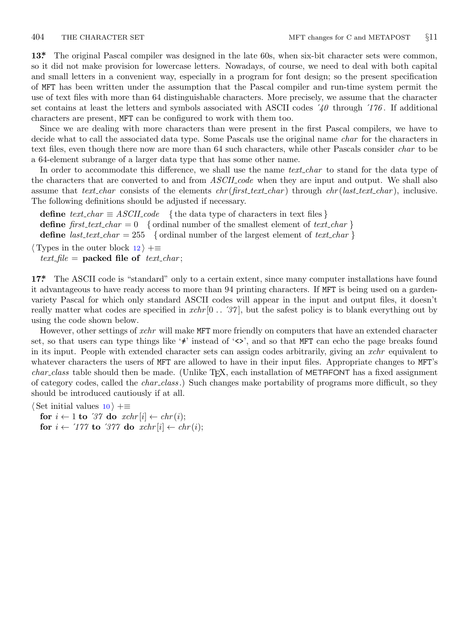<span id="page-3-0"></span>**13\*.** The original Pascal compiler was designed in the late 60s, when six-bit character sets were common, so it did not make provision for lowercase letters. Nowadays, of course, we need to deal with both capital and small letters in a convenient way, especially in a program for font design; so the present specification of MFT has been written under the assumption that the Pascal compiler and run-time system permit the use of text files with more than 64 distinguishable characters. More precisely, we assume that the character set contains at least the letters and symbols associated with ASCII codes ´*40* through ´*176* . If additional characters are present, MFT can be configured to work with them too.

Since we are dealing with more characters than were present in the first Pascal compilers, we have to decide what to call the associated data type. Some Pascals use the original name *char* for the characters in text files, even though there now are more than 64 such characters, while other Pascals consider *char* to be a 64-element subrange of a larger data type that has some other name.

In order to accommodate this difference, we shall use the name *text* char to stand for the data type of the characters that are converted to and from *ASCII code* when they are input and output. We shall also assume that *text char* consists of the elements *chr* (*first text char* ) through *chr* (*last text char* ), inclusive. The following definitions should be adjusted if necessary.

**define**  $text\_text\_char \equiv ASCII\_code$  {the data type of characters in text files } **define**  $first\_text\_char = 0$  {ordinal number of the smallest element of  $text\_char \}$ } **define**  $\textit{last.text}\_\textit{char} = 255$  {ordinal number of the largest element of  $\textit{text}\_\textit{char}$ } *⟨* Types in the outer block 12 *⟩* +*≡*

 $text$ *file* = **packed file of**  $text$ *text\_char*;

**17\*** The ASCII code is "standard" only to a certain extent, since many computer installations have found it advantageous to have ready access to more than 94 printing characters. If MFT is being used on a gardenvariety Pascal for which only standard ASCII codes will appear in the input and output files, it doesn't really matter what codes are specified in *xchr* [0 *. .* ´*37* ], but the safest policy is to blank everything out by using the code shown below.

However, other settings of *xchr* will make MFT more friendly on computers that have an extended character set, so that users can type things like '≠' instead of '<>', and so that MFT can echo the page breaks found in its input. People with extended character sets can assign codes arbitrarily, giving an *xchr* equivalent to whatever characters the users of MFT are allowed to have in their input files. Appropriate changes to MFT's *char class* table should then be made. (Unlike TEX, each installation of METAFONT has a fixed assignment of category codes, called the *char class* .) Such changes make portability of programs more difficult, so they should be introduced cautiously if at all.

*⟨* Set initial values 10 *⟩* +*≡*

**for**  $i \leftarrow 1$  **to** '37 **do**  $xchr[i] \leftarrow chr(i);$ **for**  $i \leftarrow 777$  **to**  $377$  **do**  $xchr[i] \leftarrow chr(i);$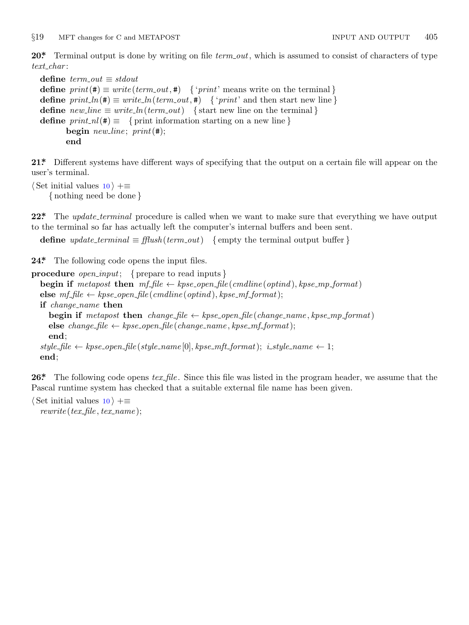<span id="page-4-0"></span>**20\*.** Terminal output is done by writing on file *term out*, which is assumed to consist of characters of type *text char* :

```
define \; term\_out \equiv stdoutdefine print(\textbf{\#}) \equiv write(term\_out, \textbf{\#}) { 'print' means write on the terminal }
define print\ln(\textbf{#}) \equiv write\ln(term\text{ }out,\textbf{#}) { 'print' and then start new line }
define new\text{-}line \equiv write\text{-}ln(term\text{-}out) {start new line on the terminal }
define print\_nl(\#) \equiv \{ print information starting on a new line \}begin new line ; print(#);
        end
```
**21\*.** Different systems have different ways of specifying that the output on a certain file will appear on the user's terminal.

```
⟨ Set initial values 10 ⟩ +≡
    { nothing need be done }
```
**22\*** The *update\_terminal* procedure is called when we want to make sure that everything we have output to the terminal so far has actually left the computer's internal buffers and been sent.

**define**  $update\_terminal \equiv \text{fftush}(term\_out)$  {empty the terminal output buffer }

**24\*.** The following code opens the input files.

```
procedure open input; { prepare to read inputs }
  begin if metapost then mf_{\text{-}}file \leftarrow kpse_{\text{-}}open_{\text{-}}file \left(\text{c}{{\text{-}}m}dline\left(\text{optind}\right), kpse_{\text{-}}mp_{\text{-}}format\right)else mf<sup>file</sup> \leftarrow kpse_open_file (cmdline (optind), kpse_mf_format);
  if change name then
     begin if metapost then change file \leftarrow kpse.open file (change name, kpse mp format)else change_file  ← kpse_open_file (change_name, kpse_mf_format);
     end;
  style \leftarrow kpse_open_file(style_name [0], kpse_mft_format); i_style_name \leftarrow 1;
  end;
```
**26\*.** The following code opens *tex file* . Since this file was listed in the program header, we assume that the Pascal runtime system has checked that a suitable external file name has been given.

*⟨* Set initial values 10 *⟩* +*≡*  $rewrite(text_{\textit{m}}, text_{\textit{m}})$ ;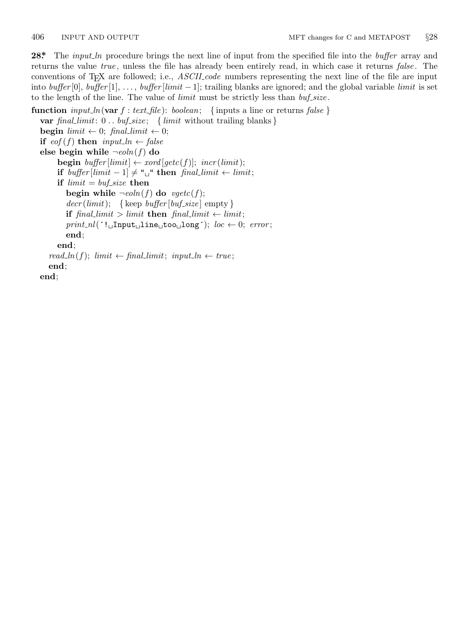<span id="page-5-0"></span>**28\*.** The *input ln* procedure brings the next line of input from the specified file into the *buffer* array and returns the value *true* , unless the file has already been entirely read, in which case it returns *false* . The conventions of TEX are followed; i.e., *ASCII code* numbers representing the next line of the file are input into *buffer* [0], *buffer* [1], *. . .* , *buffer* [*limit −* 1]; trailing blanks are ignored; and the global variable *limit* is set to the length of the line. The value of *limit* must be strictly less than *buf size* .

**function**  $input\_ln(\text{var } f : text\_file): boolean; \{ inputs a line or returns false \}$ **var** *final limit*: 0 *. . buf size* ; *{ limit* without trailing blanks *}* **begin**  $limit \leftarrow 0$ ;  $final\_limit \leftarrow 0$ ; **if**  $e^{of(f)}$  **then**  $input\_ln \leftarrow false$ **else begin while**  $\neg$ *eoln*(*f*) **do begin**  $buffer[limit] \leftarrow xord[getc(f)];$   $incr(limit);$ **if**  $buffer[limit -1] ≠ "□"$  **then**  $final\_limit ← limit;$ **if**  $limit = but\_size$  **then begin while**  $\neg$ *eoln*(*f*) **do**  $\neg$ *egetc*(*f*);  $decr (limit);$  {keep *buffer* [*buf\_size*] empty } **if**  $\text{final\_limit} > \text{limit}$  **then**  $\text{final\_limit} \leftarrow \text{limit}$ ;  $print\_nl$ <sup>( $\cdot$ ! $\Box$ Input $\Box$ line $\Box$ too $\Box$ long<sup> $\cdot$ </sup>); *loc*  $\leftarrow$  0; *error*;</sup> **end**; **end**;  $read\_ln(f);$   $limit \leftarrow final\_limit;$   $input\_ln \leftarrow true;$ **end**; **end**;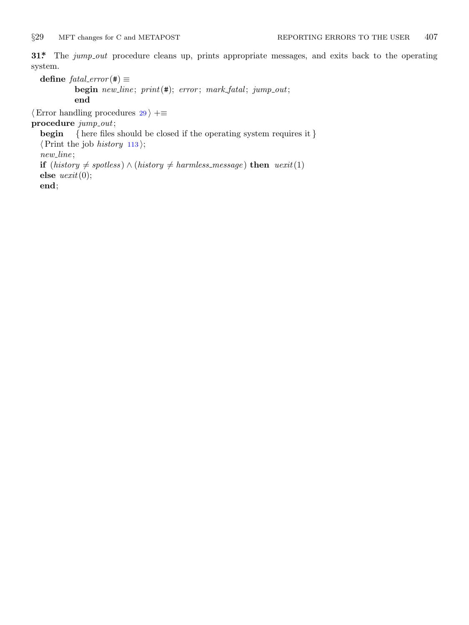<span id="page-6-0"></span>

**31\*** The *jump\_out* procedure cleans up, prints appropriate messages, and exits back to the operating system.

 $\text{define } \text{fatal\_error}(\texttt{\#}) \equiv$ **begin** *new line* ; *print*(#); *error* ; *mark fatal* ; *jump out*; **end** *⟨*Error handling procedures 29 *⟩* +*≡* **procedure** *jump out*; **begin** *{* here files should be closed if the operating system requires it *} ⟨*Print the job *history* 113 *⟩*; *new line* ; **if** (*history*  $\neq$  *spotless*) *∧* (*history*  $\neq$  *harmless\_message*) **then** *uexit*(1) **else** *uexit*(0);

**end**;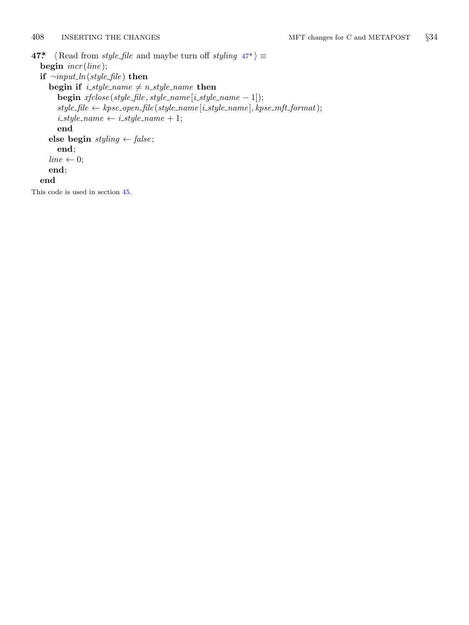```
408 INSERTING THE CHANGES MFT changes for C and METAPOST §34
47* \langle Read from style_file and maybe turn off styling 47^*\rangle \equivbegin incr (line );
  if \neg input\_ln(\text{style}\)then
     begin if i_style_name \neq n_style_name then
       begin xfclose(\text{style},\text{file},\text{style},\text{value}\text{__name}[\text{i}_\text{ } \text{.style}-\text{1}]);style f =file \leftarrow kpse_open_file (style_name [i_style_name], kpse_mft_format);
       i\_style\_name \leftarrow i\_style\_name + 1;end
     else begin styling ← false ;
       end;
     line \leftarrow 0;end;
  end
```
This code is used in section 45.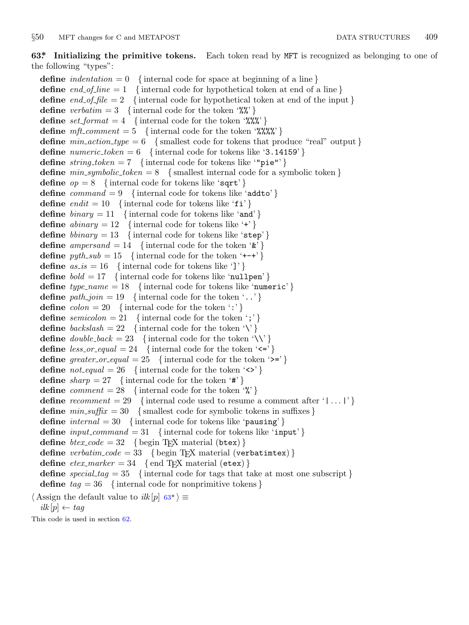### <span id="page-8-0"></span>*§*50 MFT changes for C and METAPOST DATA STRUCTURES 409

**63\*. Initializing the primitive tokens.** Each token read by MFT is recognized as belonging to one of the following "types":

**define** *indentation* = 0 { internal code for space at beginning of a line } **define**  $end_ofushine = 1 { internal code for hypothetical token at end of a line}$ **define** *end of file* = 2 *{* internal code for hypothetical token at end of the input *}* **define** *verbatim* = 3 { internal code for the token '%"} **define**  $set_{format} = 4$  {internal code for the token '%%" } **define**  $mft\_comment = 5$  {internal code for the token '%%%' } **define**  $min\_action\_type = 6$  {smallest code for tokens that produce "real" output } **define**  $numeric\_token = 6$  {internal code for tokens like '3.14159'} **define**  $string\_token = 7$  {internal code for tokens like "pie"'} **define**  $min\_symbolic\_token = 8$  {smallest internal code for a symbolic token } **define**  $op = 8$  {internal code for tokens like 'sqrt' } **define** *command* = 9 *{* internal code for tokens like 'addto' *}* **define**  $endit = 10$  {internal code for tokens like 'fi' } **define**  $\text{binary} = 11$  {internal code for tokens like 'and' } **define**  $abinary = 12$  {internal code for tokens like '+' } **define** *bbinary* = 13 { internal code for tokens like 'step' } **define** *ampersand* = 14 { internal code for the token  $\mathbf{\hat{x}}$ } **define**  $pyth\_sub = 15$  {internal code for the token '+-+' } **define**  $as_is = 16$  {internal code for tokens like ']' } **define** *bold* = 17 *{* internal code for tokens like 'nullpen' *}* **define**  $type\_name = 18$  {internal code for tokens like 'numeric' } **define**  $path\_join = 19$  {internal code for the token '..'} **define**  $\text{colon} = 20$  {internal code for the token ':'} **define** *semicolon* = 21 { internal code for the token ';'} **define**  $\text{backslash} = 22$  {internal code for the token '\' } **define**  $double\text{-}back = 23$  {internal code for the token '\\' } **define**  $less\text{-}or\text{-}equal = 24$  {internal code for the token ' $\leq$ '} **define**  $greater\_or\_equal = 25$  {internal code for the token '>='} **define**  $\text{not\_equal} = 26$  {internal code for the token ' $\langle \rangle$ '} **define**  $sharp = 27$  {internal code for the token '#'} **define** *comment* = 28 { internal code for the token  $\mathcal{C}'$ } **define** *recomment* = 29 { internal code used to resume a comment after ' $| \dots |$ '} **define**  $min\_suffix = 30$  {smallest code for symbolic tokens in suffixes } **define** *internal* = 30 *{* internal code for tokens like 'pausing' *}* **define**  $input_{\text{command}} = 31$  {internal code for tokens like 'input'} **define**  $\text{btextz-code} = 32 \quad \{\text{begin Tr}X \text{ material (btex)}\}$ **define** *verbatim\_code* = 33 { begin T<sub>E</sub>X material (verbatimtex) } **define**  $\text{etex\_marker} = 34 \quad \{ \text{end TEX material (etcx)} \}$ **define** *special tag* = 35 *{* internal code for tags that take at most one subscript *}* **define** *tag* = 36 *{* internal code for nonprimitive tokens *}*

 $\langle$  Assign the default value to *ilk* [*p*] 63<sup>\*</sup>  $\rangle$  ≡  $ilk[p] \leftarrow tag$ 

This code is used in section 62.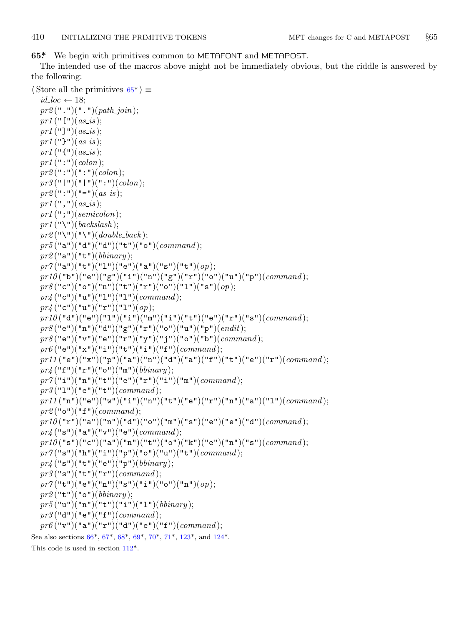<span id="page-9-0"></span>**65\*.** We begin with primitives common to METAFONT and METAPOST.

The intended use of the macros above might not be immediately obvious, but the riddle is answered by the following:

```
⟨ Store all the primitives 65* ⟩ ≡
  id\_loc \leftarrow 18;
  pr2 (".")(".")(path\_join);
  pr1 ("\lceil")(as_is);
  pr1 ("]")(as_is);
  pr1 ("}")(as_is);
  pr1 ("\{"\{"\}(as_is);
  pr1 (":")(colon);
  pr2 (":")(":")(colon);
  pr3 ("|")("|")(":")(colon);
  pr2 (":")("=")(as_is);
  pr1 (\text{''}, \text{''})(as_is);pr1 (";")(semicolon);
  pr1 ("\")(backslash);
  pr2 ("\")("\")(double_back);
  pr5 ("a")("d")("d")("t")("o")(command );
  pr2 ("a")("t")(bbinary );
  pr7("a")("t")("l")("e")("a")("s")("t")(<i>op</i>);pr10 ("b")("e")("g")("i")("n")("g")("r")("o")("u")("p")(command );
  pr8("c")("o")("n")("t")("r")("o")("l")("s")(op);
  pr4 ("c")("u")("l")("l")(command );
  pr_4 ("c")("u")("r")("1")(op);
  p r 10("d")("e")("1")("i")("m")("i")("t")("e")("r")("s")(command);
  pr8 ("e")("n")("d")("g")("r")("o")("u")("p")(endit);
  pr8 ("e")("v")("e")("r")("y")("j")("o")("b")(command );
  pr6 ("e")("x")("i")("t")("i")("f")(command);
  pr11 ("e")("x")("p")("a")("n")("d")("a")("f")("t")("e")("r")(command );
  pr4 ("f")("r")("o")("m")(bbinary );
  pr7("i")("n")("t")("e")("r")("i")("m")(command);
  pr3 ("l")("e")("t")(command );
  prl1\,("{\tt n}")("{\tt e}")("{\tt w}")("{\tt i}")("{\tt n}")("{\tt t}")("{\tt e}")("{\tt r}")("{\tt n}")("{\tt a}")("{\tt l}")(command)};pr2 ("o")("f")(command );
  p r 10("r")("a")("n")("d")("o")("m")("s")("e")("e")("d")(command);
  pr4 ("s")("a")("v")("e")(command );
  p r 10("s")("c")("a")("n")("t")("o")("k")("e")("n")("s")(command);
  pr7("s")("h")("i")("p")("o")("u")("t")(<i>command</i>);pr4 ("s")("t")("e")("p")(bbinary );
  pr3 ("s")("t")("r")(command );
  pr7 ("t")("e")("n")("s")("i")("o")("n")(op);
  pr2 ("t")("o")(bbinary );
  pr5("u")("n")("t")("i")("l")(<i>binary</i>);pr3 ("d")("e")("f")(command );
  pr6("v")("a")("r")("d")("e")("f")(<i>command</i>);See also sections 66*, 67*, 68*, 69*, 70*, 71*, 123*, and 124*.
This code is used in section 112*.
```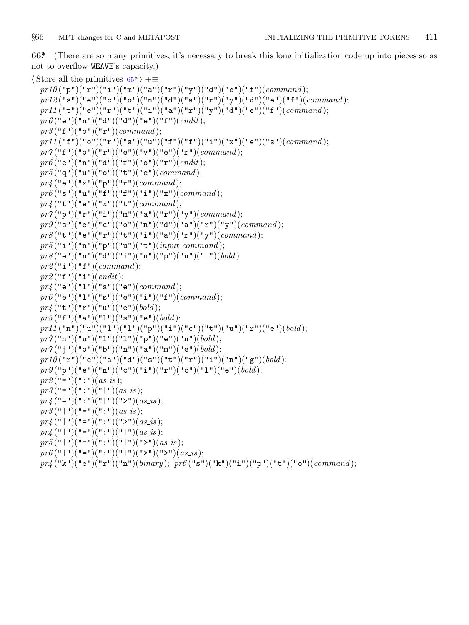<span id="page-10-0"></span>**66\*.** (There are so many primitives, it's necessary to break this long initialization code up into pieces so as not to overflow WEAVE's capacity.)

```
⟨ Store all the primitives 65* ⟩ +≡
  pr10("p")("r")("i")("m")("a")("a")("r")("y")("d")("e")("f")(<i>command</i>);
  pr12 ("s")("e")("c")("o")("n")("d")("a")("r")("y")("d")("e")("f")(command );
  pr11("t")("e")("r")("t")("i")("a")("r")("y")("d")("e")("f")(command);
  pr6 ("e")("n")("d")("d")("e")("f")(endit);
  pr3 ("f")("o")("r")(command );
  pr11("f")("o")("r")("s")("u")("f")("f")("i")("x")("e")("s")(command);
  pr7 ("f")("o")("r")("e")("v")("e")("r")(command );
  pr6 ("e")("n")("d")("f")("o")("r")(endit);
  pr5 ("q")("u")("o")("t")("e")(command );
  pr4 ("e")("x")("p")("r")(command );
  pr6("s")("u")("f")("f")("i")("x")(command);
  pr4 ("t")("e")("x")("t")(command );
  pr7 ("p")("r")("i")("m")("a")("r")("y")(command );
  pr9 ("s")("e")("c")("o")("n")("d")("a")("r")("y")(command );
  pr8("t")("e")("r")("t")("i")("a")("r")("r")("command);pr5("i")("n")("p")("u")("t")(<i>input\_command</i>);pr8("e")("n")("d")("i")("n")("p")("u")("t")(<i>bold</i>);pr2("i")("f")(command);pr2 ("f")("i")(endit);
  pr_4 ("e")("1")("s")("e")(command);
  pr6 ("e")("l")("s")("e")("i")("f")(command );
  pr4 ("t")("r")("u")("e")(bold );
  pr5("f")("a")("l")("s")("e")(bold);pr11("n")("u")("1")("l")("p")("i")("c")("t")("u")("r")("e")(bold);
  pr7("n")("u")("1")("1")("p")("e")("n")(bold);
  pr7("j")("o")("b")("n")("a")("a")("m")("e")(<i>bold</i>):pr10("r")("e")("a")("d")("s")("t")("r")("i")("n")("g")(<i>bold</i>);pr9("p")("e")("n")("c")("i")("r")("c")("c")("l")("e")(<i>bold</i>);pr2 ("=")(":")(as_is);
  pr3 ("=")(":")("|")(as_is);
  pr_4 ("=")(":")("|")(">")(as_is);
  pr3 ("\mid")("=")(":")(as_is);
  pr_4 ("|")("=")(":")(">")(as_is);
  pr_4 ("|")("=")(":")("|")(as_is);
  pr5 ("|")("=")(":")("|")(">")(as_is);
  pr6 ("|")("=")(":")("|")(">")(">")(as_is);
  pr4 ("k")("e")("r")("n")(binary ); pr6 ("s")("k")("i")("p")("t")("o")(command );
```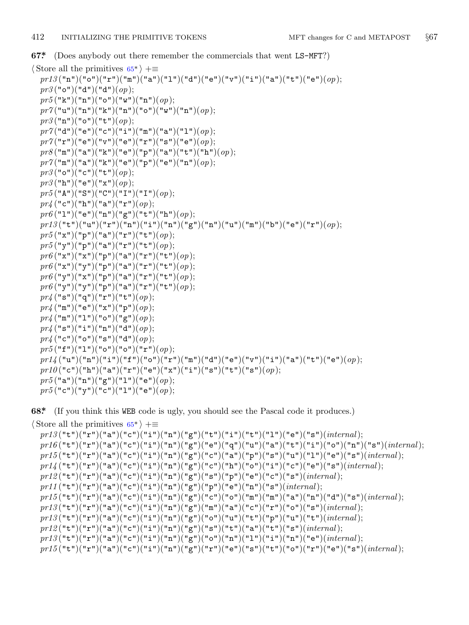<span id="page-11-0"></span>**67\*.** (Does anybody out there remember the commercials that went LS−MFT?)

*⟨* Store all the primitives 65\* *⟩* +*≡*  $pr13("n")("o")("r")("m")("a")("1")("d")("e")("v")("i")("a")("u")("e") (o p);$ *pr3* ("o")("d")("d")(*op*); *pr5* ("k")("n")("o")("w")("n")(*op*); *pr7* ("u")("n")("k")("n")("o")("w")("n")(*op*); *pr3* ("n")("o")("t")(*op*);  $pr7("d")("e")("c")("i")("m")("a")("l")(op);$ *pr7* ("r")("e")("v")("e")("r")("s")("e")(*op*); *pr8* ("m")("a")("k")("e")("p")("a")("t")("h")(*op*); *pr7* ("m")("a")("k")("e")("p")("e")("n")(*op*); *pr3* ("o")("c")("t")(*op*); *pr3* ("h")("e")("x")(*op*); *pr5* ("A")("S")("C")("I")("I")(*op*); *pr4* ("c")("h")("a")("r")(*op*);  $pr6$  ("1")("e")("n")("g")("t")("h")(*op*);  $pr13$  $("t")("u")("r")("n")("i")("n")("g")("n")("u")("u")("m")("b")("e")("r")$ *pr5* ("x")("p")("a")("r")("t")(*op*); *pr5* ("y")("p")("a")("r")("t")(*op*); *pr6* ("x")("x")("p")("a")("r")("t")(*op*); *pr6* ("x")("y")("p")("a")("r")("t")(*op*); *pr6* ("y")("x")("p")("a")("r")("t")(*op*);  $pr6$ ("y")("y")("p")("a")("r")("t")( $op$ ); *pr4* ("s")("q")("r")("t")(*op*); *pr4* ("m")("e")("x")("p")(*op*);  $pr_4$  ("m")("1")("o")("g")(*op*);  $pr_4$  ("s")("i")("n")("d")(*op*); *pr4* ("c")("o")("s")("d")(*op*);  $pr5$ ("f")("1")("o")("o")("r")(*op*);  $p r 1/4$  ("u")("n")("i")(["f"](#page-9-0))("o")("r")("m")("d")("e")("v")("i")("a")("t")("e")( $op$ );  $pr10("c")("h")("a")("r")("e")("x")("i")("s")("t")("s")(*op*);$ pr5("a")("n")("g")("1")("e")(op);  $pr5("c")("y")("c")("l")("e")(*op*);$ 

**68\*.** (If you think this WEB code is ugly, you should see the Pascal code it produces.)

```
⟨ Store all the primitives 65* ⟩ +≡
 pr13("t")("r")("a")("c")("i")("n")("g")("t")("i")("i")("t")("u")("e")("e")(internal);
 pr16("t")("r")("a")("c")("i")("p")("g")("e")("q")("u")("a")("t")("i")("o")("n")("s")(internal);
 pr15("t")("r")("a")("c")("i")("n")("g")("c")("a")("p")("s")("u")("l")("e")("s")(internal);
 pr14 {\rm\,}("t")("r")("a")("c")("i")("n")("g")("c")("h")("o")("i")("c")("e")("e")("is")(<i>internal</i>)pr12("t")("r")("a")("c")("i")("n")("g")("s")("p")("e")("c")("s")(<i>internal</i>);p r 11("t")("r")("a")("c")("i")("n")("g")("p")("e")("n")("s")(internal);
 pr15("t")("r")("a")("c")("i")("n")("g")("c")("o")("p")("m")("a")("a")("d")("s")(internal);
 pr13("t")("r")("a")("c")("i")("n")("g")("m")("a")("c")("r")("o")("s")(<i>internal</i>);
 pr13("t")("r")("a")("c")("i")("n")("g")("o")("u")("t")("p")("u")("t")(internal);
 pr12("t")("r")("a")("c")("i")("n")("g")("s")("t")("a")("t")("s")(<i>internal</i>);pr13("t")("r")("a")("c")("i")("n")("g")("o")("n")("l")("i")("n")("e")(<i>internal</i>);pr15 ("t")("r")("a")("c")("i")("n")("g")("r")("e")("s")("t")("o")("r")("e")("s")(internal);
```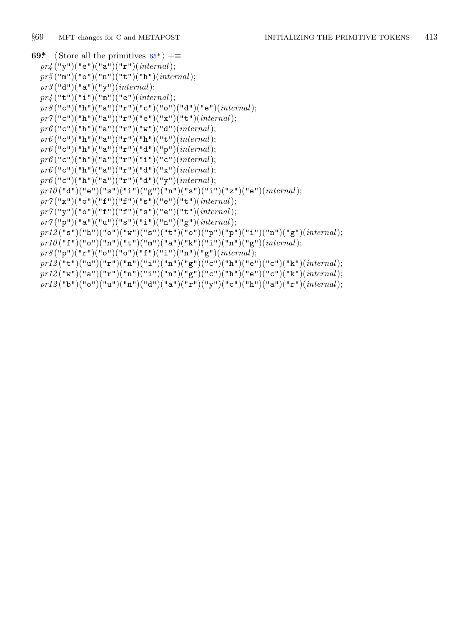```
69* \langle Store all the primitives 65^* \rangle +=
  pr4 ("y")("e")("a")("r")(internal);
  pr5 ("m")("o")("n")("t")("h")(internal);
  pr3 ("d")("a")("y")(internal);
  pr_4 ("t")("i")("m")("e")(internal);
  pr8 ("c")("h")("a")("r")("c")("o")("d")("e")(internal);
  pr7 ("c")("h")("a")("r")("e")("x")("t")(internal);
  pr6 ("c")("h")("a")("r")("w")("d")(internal);
  pr6 ("c")("h")("a")("r")("h")("t")(internal);
  pr6 ("c")("h")("a")("r")("d")("p")(internal);
  pr6 ("c")("h")("a")("r")("i")("c")(internal);
  pr6 ("c")("h")("a")("r")("d")("x")(internal);
  \;pr6("c")("h")("a")("r")("d")("y")(\;\;\;\;\;\;(\;"c")(\;pr10("d")("e")("s")("i")("g")("n")("s")("i")("z")("e")(internal);
  pr7 ("x")("o")("f")("f")("s")("e")("t")(internal);
  pr7 ("y")("o")("f")("f")("s")("e")("t")(internal);
  pr7("p")("a")("u")("s")("i")("n")("g")(<i>internal</i>);pr12\,({\tt "s"})({\tt "h"})({\tt "o"})({\tt "w"})({\tt "s"})({\tt "t"})({\tt "o"})({\tt "p"})({\tt "p"})({\tt "i"})({\tt "n"})({\tt "g"})({\it internal})};pr10("f")("o")("n")("t")("m")("a")("k")("i")("n")("g")(internal);
  pr8("p")("r")("o")("o")("f")("i")("n")("g")(internal);
  pr12("t")("u")("r")("n")("i")("n")("g")("c")("h")("e")("c")("k")(<i>internal</i>);pr12\,({\tt "w")}({\tt "a")}({\tt "r")}({\tt "n")}({\tt "i")}({\tt "n")}({\tt "g")}({\tt "c")}({\tt "h")}({\tt "e")}({\tt "c")}({\tt "k")}({\it internal});pr12 ("b")("o")("u")("n")("d")("a")("r")("y")("c")("h")("a")("r")(internal);
```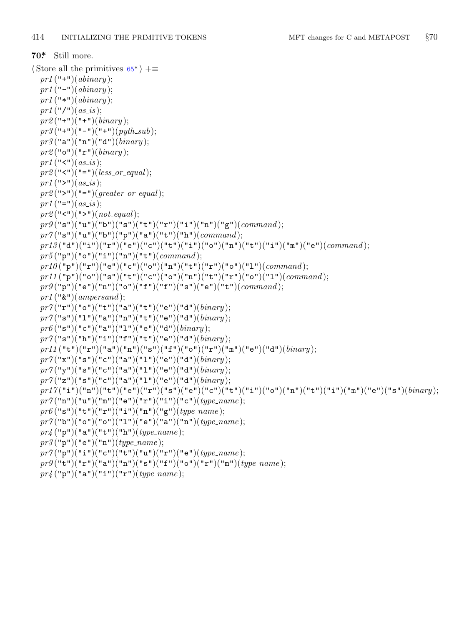$pr_4$  ("p")("a")("i")("r")(*type\_name*);

```
70*. Still more.
⟨ Store all the primitives 65* ⟩ +≡
  pr1 ("+")(abinary );
  pr1 ("−")(abinary );
  pr1 ("*")(abinary );
  pr1 ("/")(as_is);
  pr2 ("+")("+")(binary );
  pr3 ("+")("−")("+")(pyth sub );
  pr3 ("a")("n")("d")(binary );
  pr2 ("o")("r")(binary );
  pr1 ("\langle"\langle")(as_is);
  pr2 ("\lt"")("=")(less_or_equal);
  pr1 (">")(as_is);
  pr2 (">")("=")(greater_or_equal);
  pr1 ("=")(as_is);
  pr2 ("\le")("\ge")(not_equal);
  pr9("s")("u")("b")("s")("t")("r")("i")("u")("g")(<i>command</i>);
  pr7 ("s")("u")("b")("p")("a")("t")("h")(command );
  pr13 ("d")("i")("r")("e")("c")("t")("i")("o")("n")("t")("i")("m")("e")(command );
  pr5("p")("o")("i")("n")("t")(<i>command</i>);pr10 ("p")("r")("e")("c")("o")("n")("t")("r")("o")("l")(command );
  pr11 ("p")("o")("s")("t")("c")("o")("n")("t")("r")("o")("l")(command );
  pr9 ("p")("e")("n")("o")("f")("f")("s")("e")("t")(command );
  pr1 ("&")(ampersand );
  pr7 ("r")("o")("t")("a")("t")("e")("d")(binary );
  pr7 ("s")("l")("a")("n")("t")("e")("d")(binary );
  pr6("s")("c")("a")("l")("e")("d")(<i>binary</i>);pr7("s")("h")("i")("f")("t")("e")("d")(binary);pr11("t")("r")("a")("n")("s")("f")("o")("r")("m")("e")("d")(binary);
  pr7("x")("s")("c")("a")("1")("e")("d")(binary);
  pr7("y")("s")("c")("a")("l")("e")("e")("d")(<i>binary</i>);pr7("z")("s")("c")("a")("1")("e")("d")(binary);
  pr17 ("i")("n")("t")("e")("r")("s")("e")("c")("t")("i")("o")("n")("t")("i")("m")("e")("s")(binary );
  pr7("n")("u")("m")("e")("r")("i")("c")(type_name);
  pr6 ("s")("t")("r")("i")("n")("g")(type_name);
  pr7("b")("o")("o")("l")("l")("e")("a")("n")(<i>type_name</i>);pr_4 ("p")("a")("t")("h")(type_name);
  pr3 ("p")("e")("n")(type name );
  pr7 ("p")("i")("c")("t")("u")("r")("e")(type name );
  pr9("t")("r")("a")("n")("s")("f")("o")("r")("m")(<i>type_name</i>);
```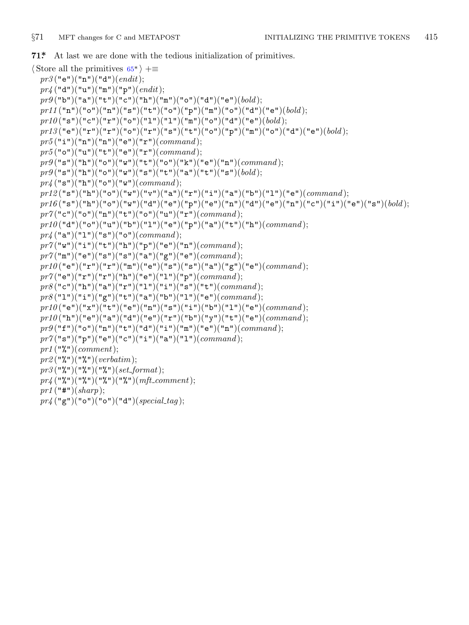<span id="page-14-0"></span>**71\*.** At last we are done with the tedious initialization of primitives.

```
⟨ Store all the primitives 65* ⟩ +≡
 pr3 ("e")("n")("d")(endit);
 pr4 ("d")("u")("m")("p")(endit);
 pr9 ("b")("a")("t")("c")("h")("m")("o")("d")("e")(bold );
 pr11("n")("o")("n")("s")("t")("o")("p")("m")("o")("d")("e")(bold);
 p r 10("s")("c")("r")("o")("l")("l")("m")("o")("d")("e")(bold);
 pr13 ("e")("r")("r")("o")("r")("s")("t")("o")("p")("m")("o")("d")("e")(bold );
 pr5("i")("n")("n")("e")("r")(<i>command</i>);pr5 ("o")("u")("t")("e")("r")(command );
 pr9("s")("h")("o")("w")("t")("o")("k")("e")("n")(<i>command</i>);
 pr9("s")("h")("o")("w")("s")("t")("a")("t")("t")("s")(<i>bold</i>);pr4 ("s")("h")("o")("w")(command );
 pr12("s")("h")("o")("w")("v")("a")("r")("i")("a")("b")("l")("e")(<i>command</i>);
 pr16 ("s")("h")("o")("w")("d")("e")("p")("e")("n")("d")("e")("n")("c")("i")("e")("s")(bold );
 pr7 ("c")("o")("n")("t")("o")("u")("r")(command );
 p r 10("d")("o")("u")("b")("1")("e")("p")("a")("t")("h")(command);
 pr4 ("a")("1")("s")("o")(command);
 pr7("w")("i")("t")("h")("p")("e")("n")(<i>command</i>);pr7 ("m")("e")("s")("s")("a")("g")("e")(command );
 pr10 ("e")("r")("r")("m")("e")("s")("s")("a")("g")("e")(command );
 pr7("e")("r")("r")("h")("e")("1")("p")(command);
 pr8("c")("h")("a")("r")("l")("i")("s")("t")(<i>command</i>);\text{pr8}("1")("i")("g")("t")("a")("b")("1")("e")(<i>command</i>);prl0("e")("x")("t")("e")("n")("s")("i")("b")("l")("e")(command);
 pr10 ("h")("e")("a")("d")("e")("r")("b")("y")("t")("e")(command );
 pr9("f")("o")("n")("t")("d")("i")("m")("e")("n")(<i>command</i>);pr7("s")("p")("e")("c")("i")("a")("l")(command);
 pr1 ("%")(comment);
 pr2 ("%")("%")(verbatim);
 pr3 ("%")("%")("%")(set format);
 pr4 ("%")("%")("%")("%")(mft comment);
 pr1 ("#")(sharp);
 pr4 ("g")("o")("o")("d")(special tag );
```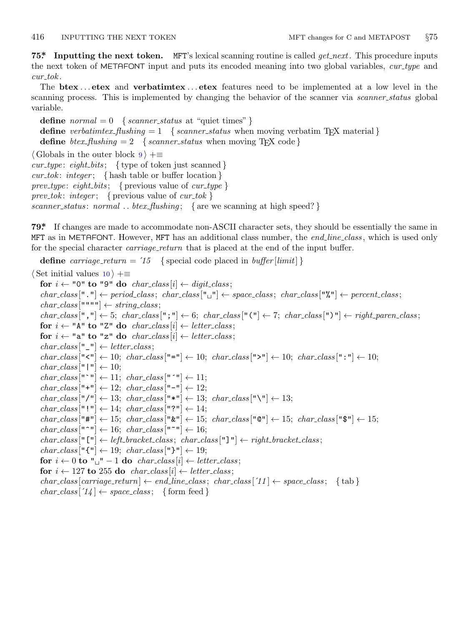<span id="page-15-0"></span>**75\*. Inputting the next token.** MFT's lexical scanning routine is called *get next*. This procedure inputs the next token of METAFONT input and puts its encoded meaning into two global variables, *cur type* and *cur tok* .

The **btex** *. . .* **etex** and **verbatimtex** *. . .* **etex** features need to be implemented at a low level in the scanning process. This is implemented by changing the behavior of the scanner via *scanner status* global variable.

**define**  $normal = 0$  {  $scanner\_status$  at "quiet times" } **define** *verbatimtex\_flushing* = 1 {*scanner\_status* when moving verbatim T<sub>E</sub>X material } **define**  $\text{}$  *btex\_flushing* = 2 { *scanner\_status* when moving T<sub>E</sub>X code } *⟨* Globals in the outer block 9 *⟩* +*≡ cur type* : *eight bits* ; *{* type of token just scanned *} cur tok* : *integer* ; *{* hash table or buffer location *} prev type* : *eight bits* ; *{* previous value of *cur type } prev tok*: *integer*; { previous value of *cur\_tok* } *scanner status* : *normal . . btex flushing* ; *{* are we scanning at high speed? *}*

**79\*.** If changes are made to accommodate non-ASCII character sets, they should be essentially the same in MFT as in METAFONT. However, MFT has an additional class number, the *end line class* , which is used only for the special character *carriage return* that is placed at the end of the input buffer.

**define** *carriage\_return* =  $'15$  { special code placed in *buffer* [*limit*] }

*⟨* Set initial values 10 *⟩* +*≡* **for**  $i \leftarrow$  "0" **to** "9" **do** *char\_class* [*i*]  $\leftarrow$  *digit\_class*;  $char\_class[" \cdot"] \leftarrow period\_class; char\_class[" \cup"] \leftarrow space\_class; char\_class["\mathcal{N}"] \leftarrow percent\_class;$  $char\_class$ <sup>[""""</sup>]  $\leftarrow string\_class;$  $char\text{-}class[","] \leftarrow 5; char\text{-}class[","] \leftarrow 6; char\text{-}class["("] \leftarrow 7; char\text{-}class[")"] \leftarrow right\text{-}parent\text{-}class;$ **for**  $i \leftarrow$  "A" **to** "Z" **do** *char\_class* [*i*]  $\leftarrow$  *letter\_class*; **for**  $i \leftarrow$  "a" **to** "z" **do** *char\_class* [*i*]  $\leftarrow$  *letter\_class*;  $char\_class$  $[$ " $\_\$ " $] \leftarrow letter\_class;$  $char\_class["\leq"] \leftarrow 10; char\_class["="] \leftarrow 10; char\_class[">"] \leftarrow 10; char\_class[":"] \leftarrow 10;$  $char\_class$ <sup>["</sup>|"]  $\leftarrow$  10;  $char\_class$  ["`"]  $\leftarrow$  11;  $char\_class$  ["´"]  $\leftarrow$  11;  $char\_class$  ["+"]  $\leftarrow$  12;  $char\_class$  ["-"]  $\leftarrow$  12;  $char\_class[$ "/"]  $\leftarrow 13$ ;  $char\_class[$ "\*"]  $\leftarrow 13$ ;  $char\_class[$ "\"]  $\leftarrow 13$ ;  $char\_class$  $[""] \leftarrow 14; char\_class[""] \leftarrow 14;$ *char class* ["#"] *←* 15; *char class* ["&"] *←* 15; *char class* ["@"] *←* 15; *char class* ["\$"] *←* 15;  $char\_class$  ["<sup>\*</sup>"]  $\leftarrow$  16;  $char\_class$  ["<sup>\*</sup>"]  $\leftarrow$  16;  $char\_class$ <sup>["</sup>["]  $\leftarrow$  *left\_bracket\_class*;  $char\_class$ <sup>["</sup>] "]  $\leftarrow$  *right\_bracket\_class*;  $char\_class$  [" $\{\mathbf{``} \} \leftarrow 19; char\_class$  [" $\{\mathbf{``} \} \leftarrow 19;$ **for**  $i \leftarrow 0$  **to** " $\mathbf{u}$ "  $-1$  **do** *char\_class* [*i*]  $\leftarrow$  *letter\_class*; **for**  $i \leftarrow 127$  **to** 255 **do** *char\_class* [*i*]  $\leftarrow$  *letter\_class*;  $char{\sim}class[carriage\_return] \leftarrow end\_line{\sim}class; char{\sim}class['11] \leftarrow space{\sim}class;$  {tab }  $char\_class[$   $'14] \leftarrow space\_class;$  {form feed }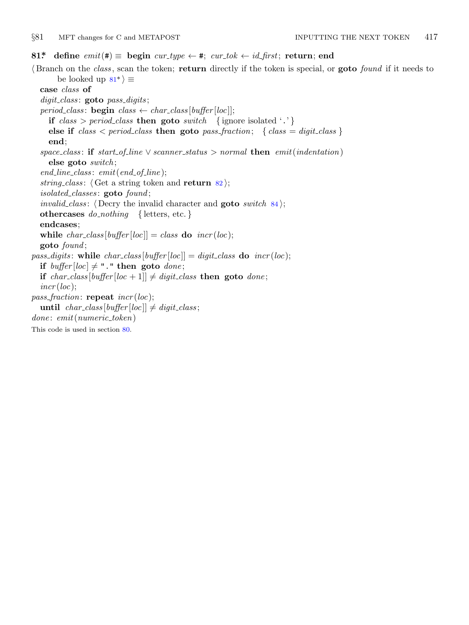<span id="page-16-0"></span>*§*81 MFT changes for C and METAPOST INPUTTING THE NEXT TOKEN 417

### **81\* define**  $emit(\textbf{\#}) \equiv$  **begin**  $cur\_type \leftarrow \textbf{\#}; \; cur\_tok \leftarrow id\_first; \; return; \; end$

*⟨* Branch on the *class* , scan the token; **return** directly if the token is special, or **goto** *found* if it needs to be looked up  $81^*$   $\equiv$ **case** *class* **of** *digit class* : **goto** *pass digits* ; *period\_class*: **begin**  $class \leftarrow char\_class[buffer[loc]]$ ; **if**  $class > period\_class$  **then goto**  $switch$  {ignore isolated '.'} **else if**  $class < period\_class$  **then goto**  $pass\_fraction$ ;  $\{ class = digit\_class \}$ **end**;  $space\_class:$  **if**  $start\_of\_line \vee \: scanner\_status > normal$  **then**  $emit(indentation)$ **else goto** *switch* ; *end line class* : *emit*(*end of line* ); *string\_class*:  $\langle$  Get a string token and **return** 82; *isolated classes* : **goto** *found* ; *invalid\_class*:  $\langle$  Decry the invalid character and **goto** *switch* 84 $\rangle$ ; **othercases** *do nothing {* letters, etc. *}* **endcases**; **while**  $char\_class[buffer[loc]] = class$  **do**  $incr(loc);$ **goto** *found* ; *pass\_digits*: while  $char\_class[buffer[loc]] = digit\_class$  **do**  $incr(loc)$ ; **if**  $buffer[loc] \neq$  "." **then goto** *done*; **if** *char\_class* [*buffer* [*loc* + 1]]  $\neq$  *digit\_class* **then goto** *done*; *incr* (*loc*); *pass fraction*: **repeat** *incr* (*loc*); **until**  $char\_class[buffer[loc]] \neq digit\_class;$ *done* : *emit*(*numeric token*) This code is used in section 80.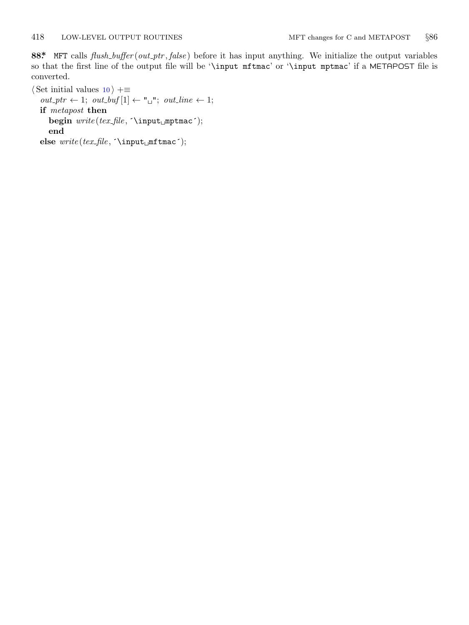<span id="page-17-0"></span>**88\*.** MFT calls *flush buffer* (*out ptr , false* ) before it has input anything. We initialize the output variables so that the first line of the output file will be '\input mftmac' or '\input mptmac' if a METAPOST file is converted.

*⟨* Set initial values 10 *⟩* +*≡*  $\label{eq:out1} out\_ptr\,\leftarrow\,1; \ out\_buf[1]\,\leftarrow\, "\lquare"; \ out\_line\,\leftarrow\,1;$ **if** *metapost* **then begin** *write* (*tex file ,* ´\input␣mptmac´); **end**  $\text{else }\textit{write}\left(\textit{text\_file},\texttt{input\_mf}\texttt{mac}\right);$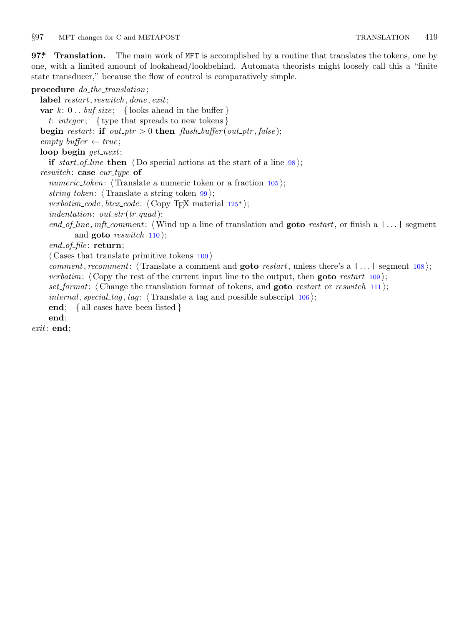## <span id="page-18-0"></span>*§*97 MFT changes for C and METAPOST TRANSLATION 419

**97\*. Translation.** The main work of MFT is accomplished by a routine that translates the tokens, one by one, with a limited amount of lookahead/lookbehind. Automata theorists might loosely call this a "finite state transducer," because the flow of control is comparatively simple.

# **procedure** *do the translation*; **label** *restart, reswitch , done , exit*; **var**  $k: 0 \ldots \text{buf\_size}$ ; { looks ahead in the buffer } *t*: *integer* ; *{* type that spreads to new tokens *}* **begin** *restart*: **if**  $out\_ptr > 0$  **then**  $f {ush\_buffer}(out\_ptr, false);$  $empty\_buffer \leftarrow true;$ **loop begin** *get next*; **if** *start\_of\_line* **then**  $\langle$  Do special actions at the start of a line 98 $\rangle$ ; *reswitch* : **case** *cur type* **of** *numeric\_token*:  $\langle$  Translate a numeric token or a fraction 105 $\rangle$ ; *string\_token*:  $\langle$  Translate a string token  $99$ ; *verbatim\_code*, *btex\_code*:  $\langle$  Copy T<sub>E</sub>X material 125<sup>\*</sup>); *indentation*: *out str* (*tr quad* ); *end of line , mft comment*: *⟨*Wind up a line of translation and **goto** *restart*, or finish a | *. . .* | segment and **goto** *reswitch* 110 $\rangle$ ; *end of file* : **return**; *⟨* Cases that translate primitive tokens 100 *⟩ comment, recomment*: *⟨* Translate a comment and **goto** *restart*, unless there's a | *. . .* | segment 108 *⟩*; *verbatim*: *⟨* Copy the rest of the current input line to the output, then **goto** *restart* 109 *⟩*; *set format*: *⟨* Change the translation format of tokens, and **goto** *restart* or *reswitch* 111 *⟩*; *internal*, *special\_tag*, *tag*:  $\langle$ Translate a tag and possible subscript 106 $\rangle$ ; **end**; *{* all cases have been listed *}* **end**; *exit*: **end**;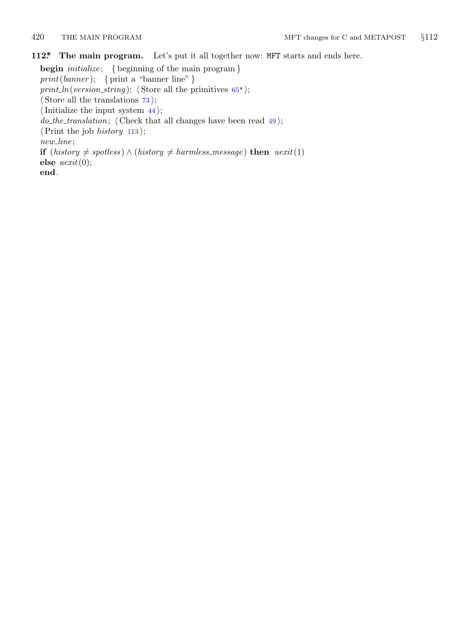<span id="page-19-0"></span>

**112\*. The main program.** Let's put it all together now: MFT starts and ends here.

**begin** *initialize* ; *{* beginning of the main program *} print*(*banner* ); *{* print a "banner line" *} print ln*(*version\_string*);  $\langle$  Store all the primitives  $65^*$ ); *⟨* Store all the translations 73 *⟩*; *⟨*Initialize the input system 44 *⟩*;  $do\_the\_translation$ ;  $\langle$  Check that all changes have been read  $49$ ; *⟨*Print the job *history* 113 *⟩*; *new line* ; **if**  $(history \neq spotless) ∧ (history \neq harmless message)$  **then**  $ucxit(1)$ **else** *uexit*(0); **end**.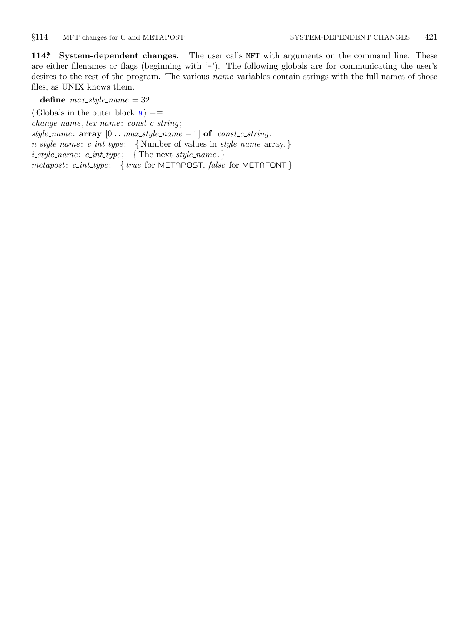<span id="page-20-0"></span>

**114\*. System-dependent changes.** The user calls MFT with arguments on the command line. These are either filenames or flags (beginning with '−'). The following globals are for communicating the user's desires to the rest of the program. The various *name* variables contain strings with the full names of those files, as UNIX knows them.

define  $max\_style = 32$ *⟨* Globals in the outer block 9 *⟩* +*≡ change name , tex name* : *const c string* ;  $style$ *name*: **array**  $[0 \t ... \t maxstyle \text{style} -1]$  **of**  $const\text{ }c\text{ }string$ ; *n style name* : *c int type* ; *{* Number of values in *style name* array. *} i style name* : *c int type* ; *{* The next *style name* . *} metapost*: *c int type* ; *{ true* for METAPOST, *false* for METAFONT *}*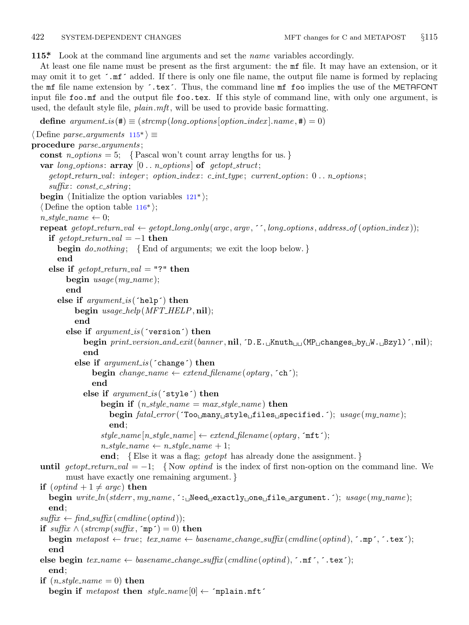<span id="page-21-0"></span>**115\*.** Look at the command line arguments and set the *name* variables accordingly.

At least one file name must be present as the first argument: the mf file. It may have an extension, or it may omit it to get ´.mf´ added. If there is only one file name, the output file name is formed by replacing the mf file name extension by ´.tex´. Thus, the command line mf foo implies the use of the METAFONT input file foo.mf and the output file foo.tex. If this style of command line, with only one argument, is used, the default style file, *plain*.*mft*, will be used to provide basic formatting.

**define**  $argument_is(\texttt{\#}) \equiv (stromp(long-options[option_index].name, \texttt{\#}) = 0)$ 

```
⟨ Define parse arguments 115* ⟩ ≡
procedure parse arguments ;
  const n_options = 5; {Pascal won't count array lengths for us.}
  var long options : array [0 . . n options ] of getopt struct;
    getopt return val : integer ; option index : c int type ; current option: 0 . . n options ;
    suffix : const c string ;
  begin \langleInitialize the option variables 121*\rangle;
  ⟨ Define the option table 116* ⟩;
  n\_style\_name \leftarrow 0;repeat getopt_return_val \leftarrow getopt_long_only(argc, argv, '', long_options, address_of(option_index));
    if qetopt\_return\_val = -1 then
       begin do nothing ; {End of arguments; we exit the loop below. }
       end
    else if qetopt\_return\_val = "?" then
         begin usage (my name );
         end
       else if argument is (´help´) then
            begin usage help(MFT HELP, nil);
            end
         else if argument is (´version´) then
              begin print version and exit(banner , nil, ´D.E.␣Knuth␣␣(MP␣changes␣by␣W.␣Bzyl)´, nil);
              end
            else if argument is (´change´) then
                 begin change\_name \leftarrow extend\_filename(optarg, \text{'ch'});end
              else if argument is (´style´) then
                   begin if (n\_style_name = max\_style_name) then
                     begin fatal error (´Too␣many␣style␣files␣specified.´); usage (my name );
                     end;
                   stylename [n\_style ]\leftarrow extendfilename (optarg, \text{`mft'});
                   n\_style\_name \leftarrow n\_style\_name + 1;end; {Else it was a flag; getopt has already done the assignment. }
  until qetopt\_return\_val = -1; {Now optind is the index of first non-option on the command line. We
         must have exactly one remaining argument. }
  if (\text{optind} + 1 \neq \text{argc}) then
    begin write ln(stderr , my name , ´:␣Need␣exactly␣one␣file␣argument.´); usage (my name );
    end;
  suffix \leftarrow find\_suffix(cmdline(optind));if \text{suffix} \land (\text{stream}(\text{suffix}, \text{`mp'}) = 0) then
    begin metapost \leftarrow true; texname{ }texname{ }text \leftarrow basename{\leftarrow}change\_suffix(cendline(optind), \text{'}.mp', \text{'}.tex;});
    end
  else begin tex name ← basename change suffix (cmdline (optind ), ´.mf´, ´.tex´);
    end;
  if (n\_style_name = 0) then
    begin if metapost then style name [0] ← ´mplain.mft´
```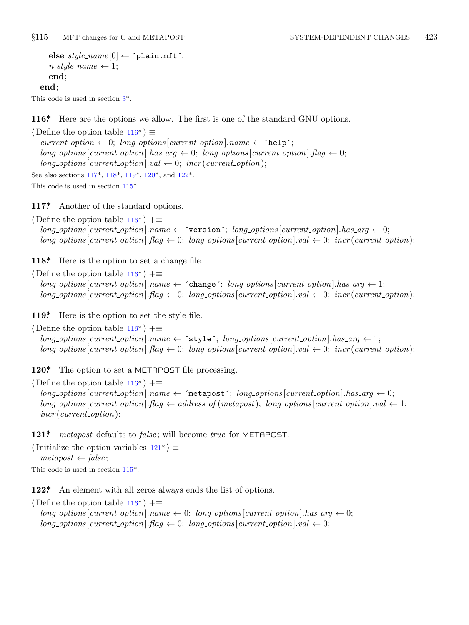```
else \ style{100} \space style{-.5mm} \underline{\hspace{10mm}}\space (0) \leftarrow \verb|'plain.mft';n\_style\_name \leftarrow 1;end;
end;
```

```
This code is used in section 3*.
```
**116\*.** Here are the opt[ions](#page-21-0) we allow. The first is one of the standard GNU options.

*⟨* Define the option table 116\* *⟩ ≡*  $current\_option \leftarrow 0; long\_options[current\_option].name \leftarrow 'help';$  $long-options[current\_option].has_arg \leftarrow 0; long\_options[current\_option].flag \leftarrow 0;$  $long\_\textit{options}$  [*current\_option*]*.val*  $\leftarrow$  0; *incr* (*current\_option*); See also sections 117\*, 118\*, 119\*, 120\*, and 122\*.

This code is used in section 115\*.

**117\*.** Another of the standard options.

*⟨* Define the option table 116\* *⟩* +*≡*  $long\_options$  [*current\_option*]*.name*  $\leftarrow$   $\check{}$  version $\check{ }$ ; *long\_options* [*current\_option*]*.has\_arg*  $\leftarrow 0$ ;  $long\_options$  [*current\_option*].  $flag \leftarrow 0$ ;  $long\_options$  [*current\_option*]*.val*  $\leftarrow 0$ ; *incr* (*current\_option*);

**118\*.** Here is the option to set a change file.

*⟨* Define the option table 116\* *⟩* +*≡*  $long-options$  [*current\_option*]*.name*  $\leftarrow$  ^ change<sup> $\sim$ </sup>; *long\_options* [*current\_option*]*.has\_arg*  $\leftarrow$  1;  $long\_options$  [current\_option].  $flag \leftarrow 0$ ;  $long\_options$  [current\_option].  $val \leftarrow 0$ ;  $incr$  (current\_option);

**119\*.** Here is the option to set the style file.

*⟨* Define the option table 116\* *⟩* +*≡*  $long\_options$  [*current\_option*]*.name*  $\leftarrow$   $^{\sim}$  **style** $^{\sim}$ ; *long\_options* [*current\_option*]*.has\_arg*  $\leftarrow$  1;  $long\_options$  [*current\_option*]*.flag*  $\leftarrow 0$ ; *long\_options* [*current\_option*]*.val*  $\leftarrow 0$ ; *incr* (*current\_option*);

**120\*.** The option to set a METAPOST file processing.

*⟨* Define the option table 116\* *⟩* +*≡*  $long\_options[current\_option].name \leftarrow$   $\leftarrow$   $\leftarrow$   $\leftarrow$   $\leftarrow$   $\leftarrow$   $\leftarrow$   $\leftarrow$   $\leftarrow$   $\leftarrow$   $\leftarrow$   $\leftarrow$   $\leftarrow$   $\leftarrow$   $\leftarrow$   $\leftarrow$   $\leftarrow$   $\leftarrow$   $\leftarrow$   $\leftarrow$   $\leftarrow$   $\leftarrow$   $\leftarrow$   $\leftarrow$   $\leftarrow$   $\leftarrow$   $\leftarrow$   $\leftarrow$   $\leftarrow$   $\leftarrow$   $\leftarrow$   $\leftarrow$   $\leftarrow$   $\leftarrow$   $\leftarrow$   $\$  $long\rightarrow$   $points$  [*current\_[opti](#page-21-0)on*]*.flag*  $\leftarrow$  *address\_of* (*metapost*); *long\_options* [*current\_option*]*.val*  $\leftarrow$  1; *incr* (*current option*);

121\* *metapost* defaults to *false*; will become *true* for METAPOST.

*⟨*Initialize the option variables 121\* *⟩ ≡*  $metapos<sup>t</sup> \leftarrow false$ ; This code is used in section 115\*.

**122\*.** An element with all zeros always ends the list of options.

*⟨* Define the option table 116\* *⟩* +*≡*  $long-options$  [*current\_option*]*.name*  $\leftarrow 0$ ; *long\_options* [*current\_option*]*.has\_arg*  $\leftarrow 0$ ;  $long\_options[current\_option]$ *.flag*  $\leftarrow 0$ ;  $long\_options[current\_option]$ *.val*  $\leftarrow 0$ ;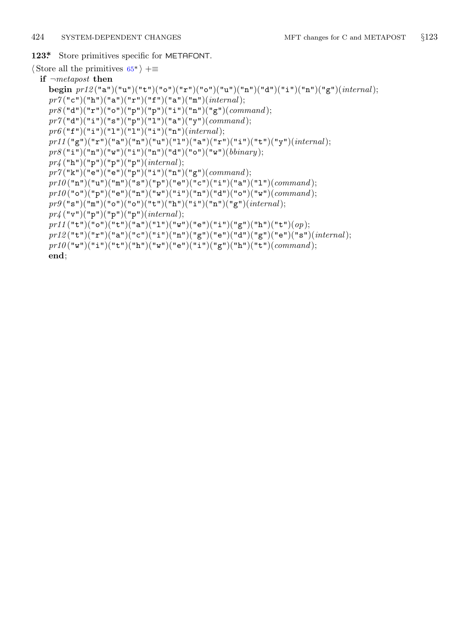# <span id="page-23-0"></span>**123\*.** Store primitives specific for METAFONT.

*⟨* Store all the primitives 65\* *⟩* +*≡*

**if** *¬metapost* **then begin** *pr12* ("a")("u")("t")("o")("r")("o")("u")("n")("d")("i")("n")("g")(*internal*);  $pr7("c")("h")("a")("r")("f")("a")("a")("m")(*internal*)$ ;  $pr8$ ("d")("r")("o")("p")("p")("i")("n")("g")(*command*);  $pr7("d")("i")("s")("p")("l")("a")("y")(*command*);$  $pr6$  ("f")("i")("l")("l")("i")("n")(*internal*);  $p$ r11("g")("r")("a")("n")("u")("1")("a")("r")("i")("t")("y")( $internal$ );  $pr8$ ("i")("n")("w")("i")("n")("d")("o")("w")(*bbinary*); *pr4* ("h")("p")("p")("p")(*internal*);  $pr7("k")("e")("e")("p")("i")("in")("m")("g")(*command*);$  $p r 10("n")("u")("m")("s")("p")("e")("c")("i")("a")("u")(*command*)$ ;  $p r 10$ ("o")("p")("e")("n")("w")("i")("n")("d")("o")("w")(*command*);  $pr9("s")("m")("o")("o")("t")("h")("i")("n")("m")("g")(*internal*);$ *pr4* ("v")("p")("p")("p")(*internal*);  $p$ r11("t")("o")("t")("a")("1")("w")("e")("i")("g")("h")("t")( $op$ );  $p r 12$  $("t")("r")("a")("c")("i")("n")("g")("e")("d")("g")("e")("e")(*internal*)$ ;  $p r 10(^{''}w")({''i}'')({''}t")({''}h")({''}w")({''}e")({''i}'')({''}g")({''}h")({''}t")(*command*);$ **end**;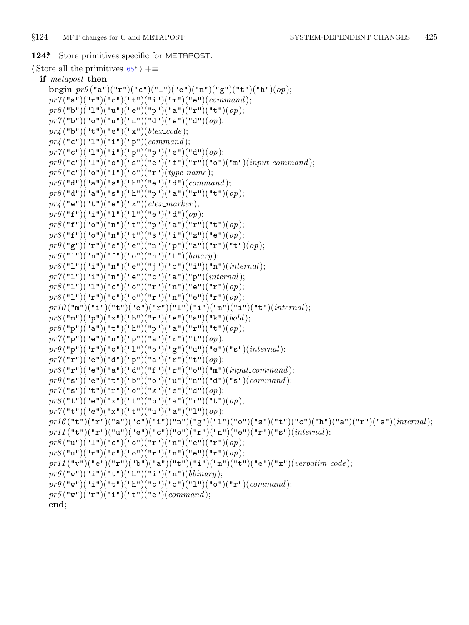**if** *metapost* **then begin**  $pr9("a")("r")("c")("l")("e")("n")("g")("t")("h")(*op*);$ pr7("a")("r")("c")("t")("i")("m")("e")(*command*);  $pr8("b")("1")("u")("e")("p")("a")("r")("t")(*op*);$ *pr7* ("b")("o")("u")("n")("d")("e")("d")(*op*); *pr4* ("b")("t")("e")("x")(*btex code* ); *pr4* ("c")("1")("i")("p")(*command*);  $pr7("c")("1")("i")("p")("p")("e")("d")(*op*);$  $pr9("c")("1")("o")("s")("e")("f")("r")("o")("m")(*input\_command*)$ ;  $pr5$  ("c")("o")("1")("o")("r")(*type\_name*); *pr6* ("d")("a")("s")("h")("e")("d")(*command* ); *pr8* ("d")("a")("s")("h")("p")("a")("r")("t")(*op*); *pr4* ("e")("t")("e")("x")(*etex marker* );  $pr6$ <sup>("f"</sup>)("i")("l")("l")("e")("d")(*op*);  $pr8$ ("f")("o")("n")("t")("p")("a")("r")("t")(*op*);  $pr8$ ("f")("o")("n")("t")("s")("i")("z")("e")(*op*); *pr9* ("g")("r")("e")("e")("n")("p")("a")("r")("t")(*op*);  $pr6$ <sup>("i"</sup>)("n")("f")("o")("n")("t")(*binary*);  $pr8$ ("1")("i")("n")("e")("j")("o")("i")("n")(*internal*);  $pr7("1")("i")("n")("e")("c")("a")("p")(*internal*);$  $pr8$ ("1")("1")("c")("o")("r")("n")("e")("r")(*op*);  $pr8$ ("1")("r")("c")("o")("r")("n")("e")("r")(*op*);  $p r 10$ ("m")("i")("t")("e")("r")("l")("i")("m")("i")("t")(*internal*); *pr8* ("m")("p")("x")("b")("r")("e")("a")("k")(*bold* ); *pr8* ("p")("a")("t")("h")("p")("a")("r")("t")(*op*); *pr7* ("p")("e")("n")("p")("a")("r")("t")(*op*);  $pr9("p")("r")("o")("1")("o")("e")("u")("e")("s")(*internal*)$ ; *pr7* ("r")("e")("d")("p")("a")("r")("t")(*op*);  $pr8("r")("e")("a")("d")("f")("r")("o")("m")(*input\_command*)$ ;  $pr9("s")("e")("t")("b")("o")("u")("u")("d")("d")("s")(*command*)$ ; *pr7* ("s")("t")("r")("o")("k")("e")("d")(*op*); *pr8* ("t")("e")("x")("t")("p")("a")("r")("t")(*op*);  $pr7("t")("e")("x")("t")("u")("a")("l")(op);$ pr16("t")("x")("a")("c")("i")("n")("g")("1")("o")("s")("t")("c")("h")("a")("x")("s")(*internal*); *pr11* ("t")("r")("u")("e")("c")("o")("r")("n")("e")("r")("s")(*internal*);  $pr8("u")("1")("c")("o")("r")("n")("e")("r")(*op*);$ *pr8* ("u")("r")("c")("o")("r")("n")("e")("r")(*op*); *pr11* ("v")("e")("r")("b")("a")("t")("i")("m")("t")("e")("x")(*verbatim code* );  $pr6$  ("w")("i")("t")("h")("i")("n")(*bbinary*);  $pr9("w")("i")("t")("h")("c")("c")("o")("l")("o")("r")(*command*);$  $pr5("w")("r")("i")("t")("e")(*command*)$ ;

<span id="page-24-0"></span>*§*124 MFT changes for C and METAPOST SYSTEM-DEPENDENT CHANGES 425

**124\*.** Store primitives specific for METAPOST.

*⟨* Store all the primitives 65\* *⟩* +*≡*

**end**;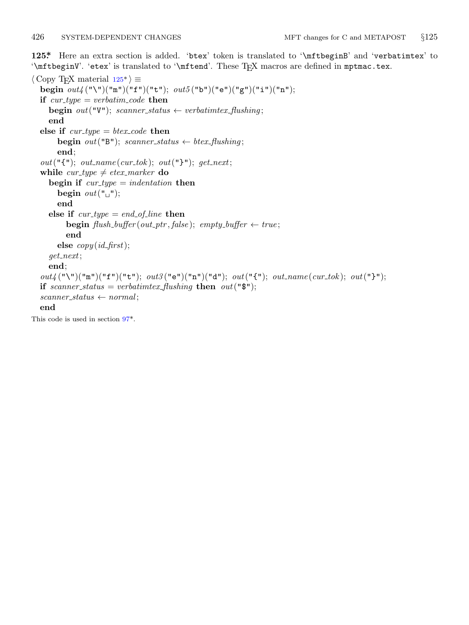<span id="page-25-0"></span>**125\*.** Here an extra section is added. 'btex' token is translated to '\mftbeginB' and 'verbatimtex' to '\mftbeginV'. 'etex' is translated to '\mftend'. These TEX macros are defined in mptmac.tex.

*⟨* Copy TEX material 125\* *⟩ ≡* **begin** *out4* ("\")("m")("f")("t"); *out5* ("b")("e")("g")("i")("n"); **if**  $cur\_type = verbatim\_code$  **then begin**  $out("V")$ ; *scanner\_status*  $\leftarrow$  *verbatimtex\_f; fluxhing;* **end else if** *cur type* = *btex code* **then begin**  $out("B")$ ; *scanner\_status*  $\leftarrow$  *btex\_flushing*; **end**;  $out("{\{\{\{\}\}}; out, count\_name(cur\_tok);\ out("{\{\}\})}; get\_next;$ **while**  $cur\_type \neq etcx\_marker$  **do**  $\text{begin if} \text{cur_type} = \text{indent} \text{indent}$ **begin**  $out("$  $_"$ ); **end else if**  $cur\_type = end\_of\_line$  **then**  $\mathbf{begin}(a) = \mathbf{begin}(b) = \mathbf{begin}(c) = \mathbf{begin}(d) = \mathbf{begin}(d) = \mathbf{begin}(d) = \mathbf{begin}(d) = \mathbf{begin}(d) = \mathbf{begin}(d) = \mathbf{begin}(d) = \mathbf{begin}(d) = \mathbf{begin}(d) = \mathbf{begin}(d) = \mathbf{begin}(d) = \mathbf{begin}(d) = \mathbf{begin}(d) = \mathbf{begin}(d) = \mathbf{begin}(d) = \mathbf{begin}(d) = \mathbf{begin}(d) = \mathbf{begin}(d) = \mathbf{begin}(d) = \mathbf{begin}(d) = \mathbf{begin}(d) = \mathbf{$ **end else** *copy* (*id first*); *get next*; **end**; *out4* ("\")("m")("f")("t"); *out3* ("e")("n")("d"); *out*("{"); *out name* (*cur tok* ); *out*("}"); **if** *scanner\_status* = *verbatimtex\_flushing* **then**  $out("$");$  $scanner\_status \leftarrow normal;$ **end** This code is used in section 97\*.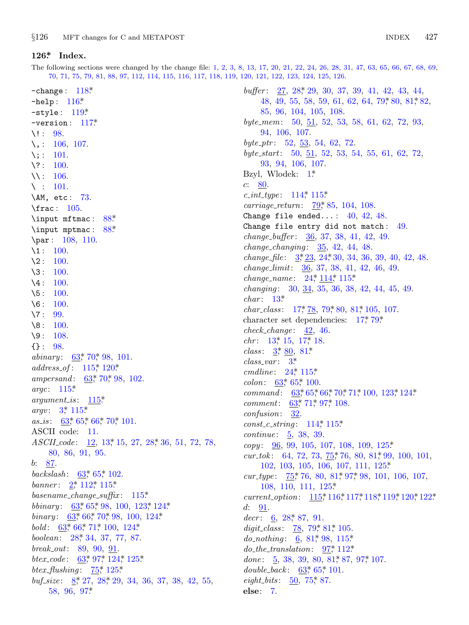<span id="page-26-0"></span>**126\*. In[dex.](#page-22-0)**

The following sections were changed by the change file: 1, 2, 3, 8, 13, 17, 20, 21, 22, 24, 26, 28, 31, 47, 63, 65, 66, 67, 68, 69, 70, 71, 75, 79, 81, 88, 97, 112, 114, 115, 116, 117, 118, 119, 120, 121, 122, 123, 124, 125, 126.

−change : 118\*. −help : 116\*. −style : 119\*. −version : 117\*.  $\backslash !$  : 98. \, : 106, 107.  $\backslash$ ; : 101. \? : 100. \\ : 106.  $\backslash$  : 101. \AM, etc : 73. \frac : 105. \input mftmac: 88\* \input mptmac : 88\*. \par: 108, 110.  $\lambda_1 : 100.$  $\lambda$ 2 : 100.  $3: 100.$  $\lambda$ 4 : 100. \5 : 100.  $\sqrt{6}$ : 100.  $\sqrt{7}$ : 99.  $\8: 100.$  $\8: 100.$  $\sqrt{9}$ : 108. {} : 9[8.](#page-2-0) *abinary*[:](#page-8-0) [6](#page-21-0)3,\* 70,\* [98,](#page-13-0) 101. *address of* : 115\*, 120\*. *ampersand*:  $\underline{63}$ , 70, 98, 102. *argc*: 115\*. *argument is* : 115\*. *argv*: 3, 115\* *as is* : 6[3\\*,](#page-1-0) [65\\*,](#page-19-0) [66\\*,](#page-9-0) [70](#page-21-0)\*, 101. ASCII code: 11. *ASCII cod[e](#page-8-0)* : [12](#page-9-0), 13, 15, [27,](#page-23-0) 28, [36](#page-24-0), 51, 72, 78, 80, [86,](#page-8-0) [91,](#page-10-0) [95.](#page-13-0) *b*: 87. *backsla[sh](#page-8-0)*: [6](#page-14-0)3<sup>\*</sup>, 65<sup>\*</sup>, 102. *banner* : 2\* 112\* 115\* *basename c[han](#page-8-0)g[e](#page-18-0) su[ffix](#page-24-0)* : [11](#page-25-0)5\*. *bbinary* : 63,\* 65,\* 9[8,](#page-25-0) 100, 123,\* 124.\* *binary* : [63](#page-2-0)\*, 66\*, [70\\*,](#page-5-0) 98, 100, 124\*. *bold*: 63\*, 6[6\\*,](#page-18-0) 71\*, 100, 124\*. *boolean*: 28\*, 34, 37, 77, 87. *break out*: 89, 90, 91. *btex\_code* : 63,\* 97,\* 124,\* 125.\* *btex flushing* : 75\*, 125\*. *buf\_size*: <u>8</u>\*, 27, 28<sup>\*</sup>, 29, 34, 36, 37, 38, 42, 55, 58, 96, 97\*.

*buffer* : 27, 28\*, 29, 30, 37, 39, 41, 42, 43, 44, 48, 49, 55, 58, 59, 61, 62, 64, 79, 80, 81, 82, 85, 96, 104, [1](#page-1-0)05, 108. *byte mem*: 50, 51, 52, 53, 58, 61, 62, 72, 93, 94, 106, [10](#page-20-0)7[.](#page-21-0) *byte ptr* : 52, 53, [54](#page-15-0), 62, 72. *byte start*: 50, 51, 52, 53, 54, 55, 61, 62, 72, 93, 94, 106, 107. Bzyl, Wlodek: 1\*. *c*: 80. *c int type* : [11](#page-2-0)4\*, 1[15\\*.](#page-4-0) *carriage\_return*:  $\frac{79}{6}$ , 85, 104, 108. Change file e[nde](#page-4-0)[d...](#page-20-0):  $40, 42, 48$  $40, 42, 48$ . Change file entry did not match : 49. *change [bu](#page-3-0)ffer* : 36, 37, 38, 41, 42, 49. *change chan[ging](#page-3-0)* : [35,](#page-15-0) 42, [44,](#page-16-0) 48. *change file* : 3\*, 23, 24\*, 30, 34, [3](#page-3-0)6, [3](#page-15-0)9, 40, 42, 48. *change limit*: 36, 37, 38, 41, 42, 46, 49. *change [n](#page-3-0)ame* : [2](#page-3-0)4\*, 114\*, 115\*. *changin[g](#page-2-0)* : 30, [34](#page-16-0), 35, 36, 38, 42, 44, 45, 49. *char* : 13\*. *char\_class* : [1](#page-4-0)7, [78](#page-21-0), 79, 80, 81, 105, 107. charact[er s](#page-8-0)e[t d](#page-9-0)ependencies:  $17,79$ \* *check change* [:](#page-8-0) [42,](#page-9-0) [46.](#page-10-0) *chr* : 13\*, 1[5,](#page-8-0) 1[7\\*,](#page-14-0) 1[8.](#page-18-0) *class*: 3,\* 80, 81\* *class var* : 3\*. *cmdline*: 24, 115\* *colon*: 63<sup>\*</sup>, 65<sup>\*</sup>, 100. *command* :  $63*65*66*70*71*100, 123*124*$  $63*65*66*70*71*100, 123*124*$  $63*65*66*70*71*100, 123*124*$ *comment*: 63, 71, 97, 108. *confusion*: [3](#page-15-0)2. *const c string* : 114\*, [11](#page-25-0)5\*. *continue*: 5, 38, [39](#page-21-0). *copy* : 96, 99, 105, 107, 108, 109, 125\*. *cur tok*: [64](#page-5-0), 72, 73,  $\frac{75}{76}$ , 76, 80, 81, 99, 100, 101, 102, 103, 10[5,](#page-15-0) 1[06,](#page-16-0) 107, 111, 125\*. *cur\_type*:  $\frac{75}{76}$ , 7[6,](#page-16-0) 80, 81, 97, 98, 101, 106, 107, 108, 110, 111, [125](#page-18-0)\*. *current option*: 115\*, [11](#page-16-0)6\*, 11[7\\*,](#page-18-0) 118\*, 119\*, 120\*, 122\*. *d*: 91. *decr* : 6, 28, 8[7,](#page-15-0) 91. *digit\_class*: 78, 79, 81, 105. *do\_nothing*: 6, 81, 98, 115\* *do the translation*: 97\*, 112\*. done: 5, 38, 39, 80, 81, 87, 97, 107. *double\_back* :  $63$ <sup>\*</sup>, 65<sup>\*</sup>, 101. *eight\_bits* : 50, 75, 87. **else**: 7.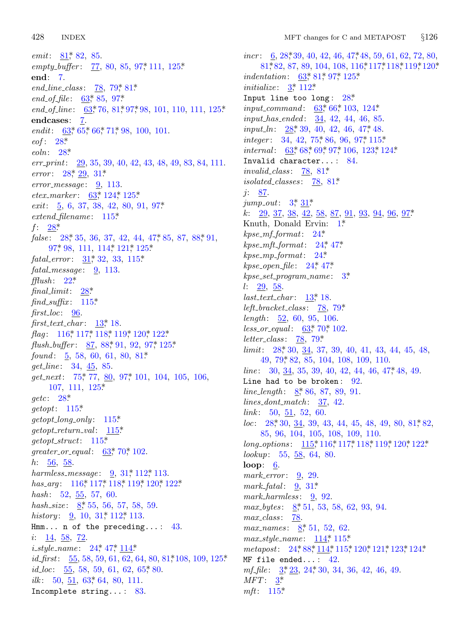*emit*: 81[,](#page-8-0)\* 82, 85. *empty b[uffe](#page-8-0)r* [:](#page-9-0) [77,](#page-10-0) [80,](#page-14-0) 85, 97\*, 111, 125\*. **end**: [7.](#page-5-0) *[e](#page-5-0)nd\_line\_class*: 78, 79\* 81\*. *end of file* : 63\*, 85, 97\*. *end of l[ine](#page-5-0)* : 63\*, [76](#page-6-0), 81\*, 97\*, 98, 101, 110, 111, 125\*. **endcases**: 7. *endit*: 63, 65, [66](#page-8-0), 71, [98,](#page-25-0) 100, 101. *eof* : 28\*. *eoln*: 28\*. *err [prin](#page-5-0)t*: 29, 35, [39,](#page-21-0) 40, 42, 43, 48, 49, 83, 84, 111. *error*: [28](#page-5-0), 29, 31\* *error [m](#page-18-0)essage* : [9,](#page-20-0) 11[3.](#page-22-0) *etex marker* : [6](#page-6-0)3\*, 124\*, 1[25\\*.](#page-21-0) *exit*: 5, 6, 37, 38, 42, 80, 91, 97\*. *extend [filen](#page-4-0)ame* : 115\*. *f*: 28\*. false: 28, 3[5,](#page-21-0) 36, 37, 42, 44, 47, 85, 87, 88, 91,  $97^*$  98, 111, 114<sup>\*</sup>, 121<sup>\*</sup>, 125<sup>\*</sup> *fatal error* : 31\*, [32](#page-3-0), 33, 115\*. *fatal [message](#page-22-0)* : [9,](#page-22-0) 11[3.](#page-22-0) *fflush* : 22\*. *final limit*: 28\*. *find suffix* : 115\*. *first loc*: [96.](#page-15-0) *first text char* : [13](#page-25-0)\*, 1[8.](#page-18-0) *flag*: [116](#page-5-0),\* 117,\* 118,\* 119,\* 120,\* 122.\* *flush\_bu[ffer](#page-21-0)* : 87, 88, 91, 92, 97, 125\* *found* : 5, 58, 60, [61,](#page-21-0) 80, 81\* *get line* : 34, 45, 8[5.](#page-21-0) *get next*: 75\*, [77,](#page-21-0) 80, 97\*, 101, 104, 105, 106, 107, 111, 125[\\*.](#page-8-0) *getc*: 28\*. *getopt*: 115\*. *getopt long [on](#page-22-0)ly* [:](#page-22-0) 1[15\\*.](#page-22-0)  $getopt\_return\_val:$  115\* *getopt struct*[:](#page-2-0) 115\*. *greater or equal* : [6](#page-6-0)3\*, [70](#page-19-0)\*, 102. *h*: 56, 58. *harmless message* : 9, 31\*, 112\*, 113. *has arg* : 116\*, [11](#page-4-0)7\*, [11](#page-7-0)[8\\*,](#page-20-0) 119\*, 120\*, 122\*. *hash*: 52, 55, 57, 60. *hash\_size*: [8,](#page-9-0)\* 55, 56, 57, 58, 59. *history* : 9, [10,](#page-8-0) 31, 112, 113. Hmm... n of the preceding...:  $43$ . *i*: <u>14</u>, <u>58</u>, 72. *i\_style\_name* : 24\*, 47\*, 114\* *id\_first*: 55, 58, 59, 61, 62, 64, 80, 81, 108, 109, 125\*. *id\_loc*: 55, 58, 59, 61, 62, 65, 80. *ilk*: 50,  $\frac{51}{63}$ , 63, 64, 80, 111. Incomplete string... : 83.

*indentation*: 63,\* [81](#page-15-0),\* 97,\* 125.\* *initialize* :  $3^*$  $3^*$  [112](#page-11-0)\* Input line too long : 28\*. *input\_command* : 63,\* 66,\* 103, 124.\* *input has ended* : 34, [42](#page-16-0), 44, 46, 85. *input\_ln*: 28\*, 39, 40, 42, 46, 47\*, 48. *integer* : 3[4,](#page-2-0) 4[2,](#page-6-0) 75, 86, 96, 97, 115\* *internal* : 63\*, 68\*, 69\*, 97\*, 106, 123\*, 124\*. Invalid character... [:](#page-1-0) 84. *invalid class* : 78, [81](#page-4-0)\*. *isolated classes* : [78,](#page-4-0) [81\\*.](#page-7-0) *j*: 87.  $jump_out: 3^*$  31\* *k*: 29, 37, 38, 42, 58, 87, [9](#page-2-0)1, 93, 94, 96, 97\*. Knuth, Donald Ervin: 1\*. *kpse mf format*: [2](#page-3-0)4\*. *kpse mft format*: 24\*, [47\\*.](#page-15-0) *kpse mp format*: 24\*. *kpse open file* : [24](#page-8-0)\*, [47](#page-13-0)\*. *kpse set program [nam](#page-15-0)e* : 3\*. *l*: 29, [58](#page-5-0).  $last\_text\_char: 13^*$  $last\_text\_char: 13^*$  $last\_text\_char: 13^*$  18. *left bracket class* : 78, 79\*. *length*:  $\frac{52}{2}$ , 60, 95, 106. *less\_or\_equal* :  $63$ <sup>\*</sup>, 70<sup>\*</sup>, 102. *letter class* : 78, 79\*. *limit*: 28, 30, 34, 37, 39, 40, 41, 43, 44, 45, 48, 4[9,](#page-5-0) 79\*, 82, 85, 104, 108, 109, 110. *line* : 30, 34, 35, 39, 40, 42, 44, 46, 47, 48, 49. Line had to [be b](#page-21-0)[roke](#page-22-0)n[:](#page-22-0)  $92$ . *line\_length* : 8\*, 86, 87, 89, 91. *lines dont match* : 37, 42. *link* : 50, 51, 52, 60. *loc*: 28, 30, 34, [39](#page-6-0), 43, 44, 45, 48, 49, 80, 81, 82,

85, 96, 104, 105, 108, 109, 110. *long\_options*:  $115$ <sup>\*</sup>, 116<sup>\*</sup>, 117<sup>\*</sup>, 118<sup>\*</sup>, 119<sup>\*</sup>, 120<sup>\*</sup>, 122<sup>\*</sup> *lookup*: 55, 58, 64, 80. **loop**: 6. *mark error* : 9, 2[9.](#page-20-0) *mark\_fatal* : [9](#page-4-0), [31](#page-17-0)[\\*](#page-20-0) *mark\_harmless* : 9, 92. *max bytes* [:](#page-2-0) 8\*, [51,](#page-4-0) 53, 58, 62, 93, 94. *max cla[ss](#page-2-0)* : 78. *max n[ame](#page-21-0)s* : 8\*, 51, 52, 62. *max style name* : 114\*, 115\*. metapost: 24, 88, 114, 115, 120, 121, 123, 124, MF file ended... : 42.

*mf\_file*:  $3, 23, 24, 30, 34, 36, 42, 46, 49.$ *MFT* : 3\*. *mft*: 115\*.

*incr* : 6, 28, 39, 40, 42, 46, 47, 48, 59, 61, 62, 72, 80, 81, 82, [87](#page-5-0), 89, 104, 108, 116, 117, 118, 119, 120\*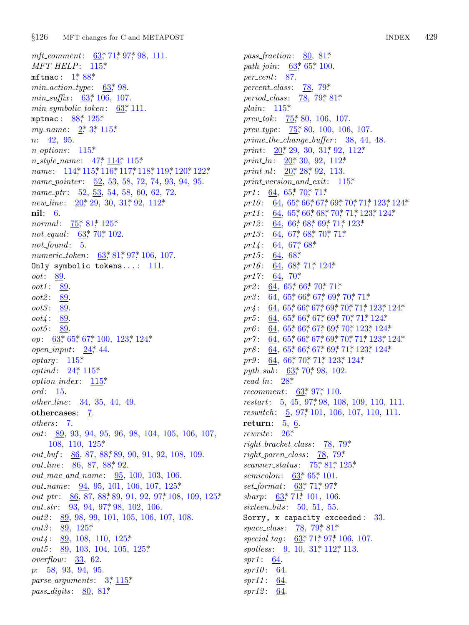*mft comm[ent](#page-17-0)*: [63](#page-25-0)\*, 71\*, 97\*, 98, 111. *MFT HELP*[:](#page-1-0) [1](#page-2-0)1[5\\*.](#page-21-0) mftmac:  $1^*$  88\* *min action t[ype](#page-21-0)* : 63\*, 98. *min\_suffix* :  $63$ <sup>\*</sup>, [1](#page-7-0)0[6,](#page-20-0) 10[7.](#page-21-0) *min sy[mboli](#page-20-0)c [toke](#page-21-0)[n](#page-22-0)*: [63\\*,](#page-22-0) 1[11.](#page-22-0) mptmac:  $88$ <sup>\*</sup>,  $125$ <sup>\*</sup> *my\_name* : 2,\* 3,\* 115.\* *n*: 42, 95. *n options* : 115\*. *n style na[me](#page-15-0)* : [4](#page-16-0)7\*, [11](#page-25-0)4\*, 115\*. *name*: [11](#page-8-0)4, 115, 116, 117, 118, 119, 120, 122\* *name pointer* : 52, 53, 58, 72, 74, 93, 94, 95. *name ptr* : 52, 5[3,](#page-8-0) 5[4,](#page-16-0) 5[8,](#page-18-0) 60, 62, 72. *new\_line*:  $20^*$ , 29, 30, 31, 92, 112\* **nil**: 6. *normal* : 75\* 81\* 125\* *not equal* : 63\*, 70\*, 102. *not\_found* : 5. *numeric\_token*:  $63$ <sup>\*</sup>, 81<sup>\*</sup>, 97<sup>\*</sup>, 106, 107. Only symbolic tokens...: 111. *oot*: [89](#page-8-0). *oot1* : 89. *oot2* : 8[9.](#page-21-0) *oot3* : 8[9.](#page-4-0) *oot4* : 89. *oot5* : 89. *op*: 63\*, 65\*, 67\*, 100, 123\*, 124\*. *open input*: 24\*, 44. *optarg* : 115\*. *optind*: 24, 115\* *option index* : [115](#page-25-0)\*. *ord* : 15. *other line* : 34, 3[5,](#page-17-0) 44, 49. othercases: 7. *others* : 7. *out*: 89, 93, 94, [95](#page-17-0), 96, 98, 10[4,](#page-18-0) 105, 106, [107,](#page-25-0) 108, 110, 12[5\\*.](#page-18-0) *out\_buf* : 86, 87, 88\*, 89, 90, 91, 92, 108, 109. *out\_line*: <u>86</u>, 87, 88, 92. *out mac and name* : [95,](#page-25-0) 100, 103, 106. *out\_name*: 94, 95, 101, 1[06,](#page-25-0) 107, 125\*. *out\_ptr*: 86, 87, 88, 89, 91, 92, 97, 108, 109, 125\*. *out\_str* : 93, 94, 97<sup>\*</sup>, 98, 102, 106. *out2* : 89, 98, 99, [10](#page-2-0)1, [10](#page-21-0)5, 106, 107, 108. *out3* : 89, 125\*. *out4* : 89, 108, 110, 125\*. *out5*: 89, 103, 104, 105, 125\* *overflow*: 33, 62. *p*: 58, 93, 94, 95. *parse arguments* : 3\*, 115\*. *pass\_digits*: 80, 81\*

*pass fracti[on](#page-15-0)*: 80, 81\*. *path\_join*:  $\underline{63}$ <sup>\*</sup>,  $65$ <sup>\*</sup>, 100. *per cent*: 87. *percent [cla](#page-4-0)ss* : 78, [79\\*.](#page-6-0) *period\_cla[s](#page-4-0)s*: <u>78</u>, 79\*, [81\\*.](#page-19-0) *plain*: 11[5\\*.](#page-4-0) *prev\_tok*:  $75$ <sup>\*</sup>, 80, 106, [107.](#page-21-0) *prev type* : [7](#page-9-0)5\*, [8](#page-13-0)0, [10](#page-14-0)0, 106, 107. *prime the c[han](#page-9-0)[ge](#page-10-0) b[uff](#page-11-0)e[r](#page-12-0)* : [38](#page-13-0), [44](#page-14-0), [48.](#page-23-0) *print*:  $20^*$ , [29](#page-9-0), [30](#page-10-0), [31](#page-11-0)<sup>\*</sup>, [92](#page-13-0), [11](#page-14-0)2<sup>\*</sup> *print\_ln*: 20<sup>\*</sup>, [30,](#page-11-0) [92,](#page-12-0) [112](#page-14-0)<sup>\*</sup> *print\_nl*:  $20^*28^*92$ , [113](#page-14-0). *print versio[n](#page-11-0) a[nd](#page-11-0) exit*: 115\*. *pr1* :  $64$ ,  $65$ <sup>\*</sup>,  $70$ <sup>\*</sup>,  $71$ <sup>\*</sup>. pr10: 64, [65\\*,](#page-11-0) [66\\*,](#page-14-0) [67\\*,](#page-24-0) 69\*, 70\*, 71\*, 123\*, 124\*. pr11: 64, 65, 66, 68, 70, 71, 123, 124\* *pr12* : [6](#page-9-0)4, 66\*, [68](#page-10-0)\*, [69](#page-13-0)\*, [71](#page-14-0)\*, 123\* *pr13* : [6](#page-10-0)4, 67, 68, 70, 71\*  $pr14$ : [6](#page-9-0)4, 67<sup>\*</sup>, 68<sup>\*</sup> *pr15* : 64, [6](#page-9-0)8[\\*.](#page-10-0) *pr1[6](#page-9-0)* : 64, 68[\\*,](#page-10-0) 7[1\\*,](#page-11-0) 124\* *pr17* : 64, [7](#page-9-0)[0\\*.](#page-10-0) *pr2* : 64, [65](#page-9-0)\*, [66](#page-10-0)\*, [70](#page-11-0)\*, [71](#page-12-0)[\\*](#page-14-0). *pr3* : 64, [65\\*,](#page-10-0) [66](#page-13-0)\*, [67](#page-14-0)\*, [69\\*,](#page-23-0) 7[0\\*,](#page-24-0) 71\*. pr4: 64, [65\\*,](#page-8-0) [66\\*,](#page-13-0) 67\*, 69\*, 70\*, 71\*, 123\*, 124\*. pr5: 64, [65](#page-5-0), 66, 67, 69, 70, 71, 124\* pr6: 64, 65, [66](#page-8-0), [67](#page-18-0), 69, 70, 123, 124\* pr7: 64, 65, 66, 67, 69, 70, 71, 123, 124\* pr8: 64, 65\*, [66](#page-18-0)\*, 67\*, 69\*, 71\*, 123\*, 124\*. pr9: 64, 66\*, 70\*, 71\*, 123\*, 124\*. *pyth\_sub*: <u>[6](#page-4-0)3</u><sup>\*</sup>, 70<sup>\*</sup>, 98, 102. *read ln*: 28\*. *recomment*:  $63$ <sup>\*</sup>, 97<sup>\*</sup>, 1[10.](#page-15-0) *restart*: 5, 45, 9[7\\*,](#page-15-0) 9[8,](#page-16-0) 1[08,](#page-25-0) 109, 110, 111. *reswitch* : 5, [97](#page-8-0), [10](#page-9-0)1, 106, 107, 110, 111. **return**: 5, [6.](#page-8-0) *rewrite* : [2](#page-8-0)6[\\*.](#page-14-0) *right bracket class* : 78, 79\*. *right paren class* : 78, 79\*. *scanner status* : [75\\*,](#page-15-0) [81\\*,](#page-16-0) 125\*. *semicolon*:  $63, 65, 101$  $63, 65, 101$ . *set format*: 63\*, [71](#page-6-0)\*, [97\\*.](#page-19-0) *sharp*: 63, 71, 101, 106. *sixteen bits* : 50, 51, 55. Sorry, x capacity exceeded: 33. *space\_class* : 78, 79, 81\* *special\_tag*:  $\underline{63}$ <sup>\*</sup>, 71<sup>\*</sup>, 97<sup>\*</sup>, 106, 107. *spotless*: 9, 10, 31, 112, 113. *spr1* : 64. *spr10* : 64. *spr11* : 64. *spr12* : 64.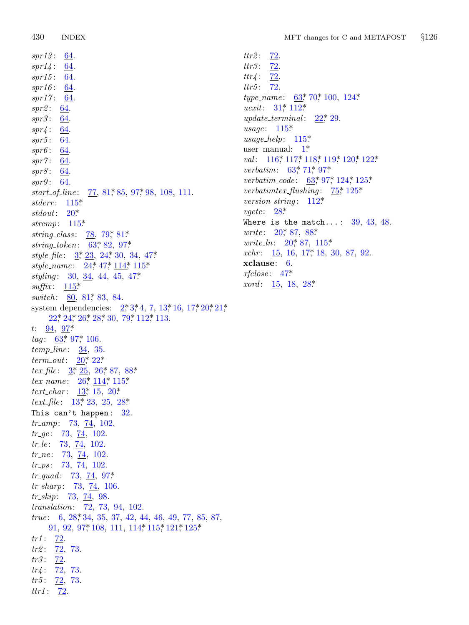*spr13* : 64. *spr14* : 64. *spr15* : 64. *spr16* : 64. *spr17* : 64. *spr2* : 64. *spr3* : 64. *spr4* : 64. *spr5* : 6[4.](#page-21-0) *spr6* : 6[4.](#page-4-0) *spr7* : 6[4.](#page-21-0) *spr8* : 64. *spr9* : 64. *start\_of\_line* [:](#page-2-0) 77[,](#page-18-0) [81](#page-4-0), 85, 97, [98](#page-7-0), 108, 111. *stderr* : 115\*. *stdout*: 20\*. *strcmp*: [11](#page-21-0)5\*. *string\_class* : [78](#page-16-0), 79\*, 81\*. *string token*: 63\*, 82, [97](#page-1-0)[\\*](#page-2-0). *style [fil](#page-4-0)e* [:](#page-4-0) [3\\*,](#page-4-0) 2[3,](#page-5-0) 24\*, 3[0,](#page-15-0) 34, [47](#page-19-0)\*. *style na[me](#page-18-0)* : 24\*, 47\*, 114\*, 115\*. *styling* [:](#page-8-0) [30,](#page-18-0) 34, 44, 45, 47\*.  $\textit{suffix}: \quad \underline{115}^*$ *switch* : [8](#page-4-0)0, 81, 83, 84. system de[p](#page-2-0)ende[ncie](#page-4-0)s:  $2^*$ , 3[\\*,](#page-17-0) 4, 7, 13\*, 16, 17\*, 20\*, 21\*, 22\*, 24\*, [26\\*,](#page-4-0) [28\\*,](#page-20-0) 3[0,](#page-21-0) 79\*, 112\*, 113. *t*: 94, 97\*. tag: 63<sup>\*</sup>, 97<sup>\*</sup>, 106. *temp line* : 34, 35. *term out*: 20\*, 22\*. *tex\_file* :  $3, 25, 26, 87, 88$ \* *tex\_name*: 26,\* 114,\* 115.\* *text\_char* :  $13$ <sup>\*</sup>, 15, 20<sup>\*</sup>. *text file* : 13\*, 23, 25, 28\*. This can't happ[en](#page-18-0): 32. *tr\_amp*: 73, 74, 102. *tr\_ge* : 73, 74, 102. *tr le* : 73, 74, 102. *tr\_ne*: 7[3,](#page-5-0) 74, 102. *tr ps* : 73, [74,](#page-18-0) 102. *tr quad* : 73, 74, 97\*. *tr sharp*: 73, 74, 106. *tr\_skip*: 73, 74, 98. *translation*: 72, 73, 94, 102. *true*: 6, 28, 34, 35, 37, 42, 44, 46, 49, 77, 85, 87, 91, 92, 97, 108, 111, 114, 115, 121, 125\*  $tr1: \frac{72}{.}$ *tr2* : 72, 73. tr3: 72.  $tr4: \frac{72}{73}.$ *tr5* : 72, 73. *ttr1* : 72.

 $tr3: \frac{72}{6}$ *ttr4* : 72. *ttr5* : 72. *type\_[name](#page-22-0)* : [6](#page-22-0)3\*, [70](#page-22-0)\*, [100](#page-22-0), [124](#page-22-0)\* *uexit*: 31,\* [11](#page-8-0)2\* *update\_terminal* :  $22$  $22$ <sup>\*</sup>, 2[9.](#page-24-0) *usage*:  $115$ <sup>\*</sup> *usage help*: 115[\\*.](#page-19-0) user m[anu](#page-5-0)al:  $1^*$ *val*: 116\* 117\* 118\* 119\* 120\* 122\* *verbatim*[:](#page-4-0) 63,\* 71,\* 97\* *verbatim c[ode](#page-4-0)* : 63\*, [97](#page-21-0)\*, 124\*, 125\*. *verbatimtex flu[shin](#page-3-0)g* : 75\*, 125\*. *version string* : 112\*. *vgetc*: 2[8\\*.](#page-7-0) Where is the [mat](#page-5-0)ch...:  $39, 43, 48$ . *write*: 20, 87, 88\* *write\_ln*: 20, 87, 115\* *xchr*: 15, 16, 17, 18, 30, 87, 92. **xclause**: 6. *xfclose* : 47\*. *xord* : 15, 18, 28\*

 $_{ttr2}$ :  $_{72}$ .